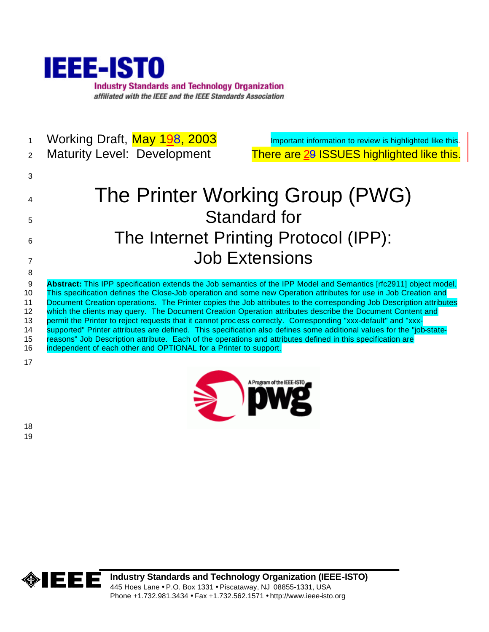

- 1 Working Draft, May 198, 2003 Important information to review is highlighted like this.
- 

2 Maturity Level: Development There are 29 ISSUES highlighted like this.

# <sup>4</sup> The Printer Working Group (PWG) <sup>5</sup> Standard for 6 The Internet Printing Protocol (IPP): <sup>7</sup> Job Extensions 8

 **Abstract:** This IPP specification extends the Job semantics of the IPP Model and Semantics [rfc2911] object model. This specification defines the Close-Job operation and some new Operation attributes for use in Job Creation and Document Creation operations. The Printer copies the Job attributes to the corresponding Job Description attributes 12 which the clients may query. The Document Creation Operation attributes describe the Document Content and 13 permit the Printer to reject requests that it cannot process correctly. Corresponding "xxx-default" and "xxx- supported" Printer attributes are defined. This specification also defines some additional values for the "job-state- reasons" Job Description attribute. Each of the operations and attributes defined in this specification are 16 independent of each other and OPTIONAL for a Printer to support.

17

3



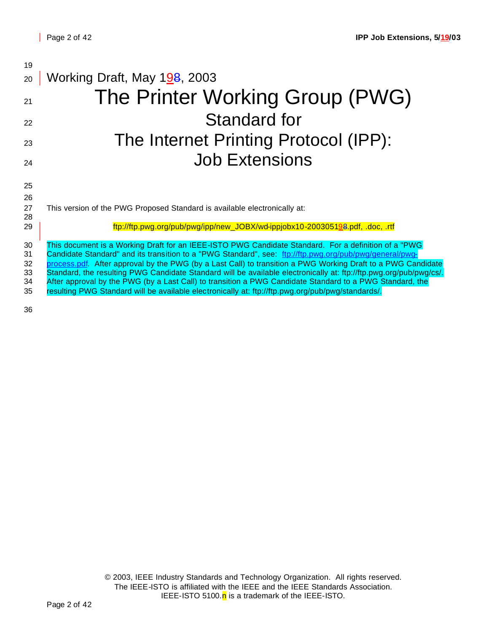| 19       |                                                                                                                                                                                                               |
|----------|---------------------------------------------------------------------------------------------------------------------------------------------------------------------------------------------------------------|
| 20       | Working Draft, May 198, 2003                                                                                                                                                                                  |
| 21       | The Printer Working Group (PWG)                                                                                                                                                                               |
| 22       | <b>Standard for</b>                                                                                                                                                                                           |
| 23       | The Internet Printing Protocol (IPP):                                                                                                                                                                         |
| 24       | <b>Job Extensions</b>                                                                                                                                                                                         |
| 25       |                                                                                                                                                                                                               |
| 26       |                                                                                                                                                                                                               |
| 27<br>28 | This version of the PWG Proposed Standard is available electronically at:                                                                                                                                     |
| 29       | ftp://ftp.pwg.org/pub/pwg/ipp/new_JOBX/wd-ippjobx10-200305198.pdf, .doc, .rtf                                                                                                                                 |
| 30       | This document is a Working Draft for an IEEE-ISTO PWG Candidate Standard. For a definition of a "PWG                                                                                                          |
| 31       | Candidate Standard" and its transition to a "PWG Standard", see: ftp://ftp.pwg.org/pub/pwg/general/pwg-                                                                                                       |
| 32       | process.pdf. After approval by the PWG (by a Last Call) to transition a PWG Working Draft to a PWG Candidate                                                                                                  |
| 33       | Standard, the resulting PWG Candidate Standard will be available electronically at: ftp://ftp.pwg.org/pub/pwg/cs/.                                                                                            |
| 34<br>35 | After approval by the PWG (by a Last Call) to transition a PWG Candidate Standard to a PWG Standard, the<br>resulting PWG Standard will be available electronically at: ftp://ftp.pwg.org/pub/pwg/standards/. |
|          |                                                                                                                                                                                                               |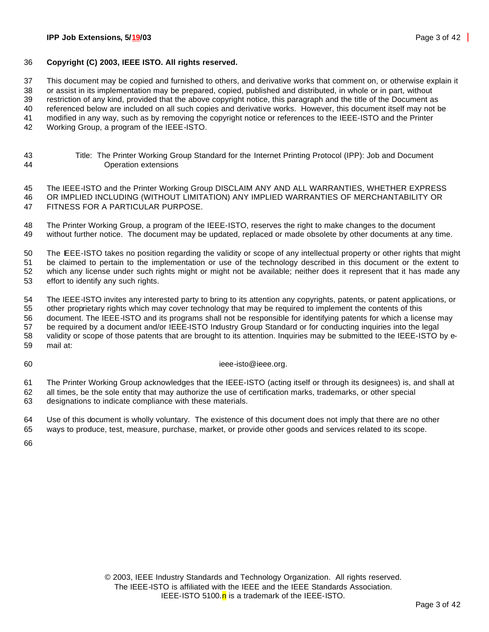#### **IPP Job Extensions, 5/19/03** Page 3 of 42

#### **Copyright (C) 2003, IEEE ISTO. All rights reserved.**

This document may be copied and furnished to others, and derivative works that comment on, or otherwise explain it

 or assist in its implementation may be prepared, copied, published and distributed, in whole or in part, without restriction of any kind, provided that the above copyright notice, this paragraph and the title of the Document as

referenced below are included on all such copies and derivative works. However, this document itself may not be

modified in any way, such as by removing the copyright notice or references to the IEEE-ISTO and the Printer

Working Group, a program of the IEEE-ISTO.

 Title: The Printer Working Group Standard for the Internet Printing Protocol (IPP): Job and Document Operation extensions

 The IEEE-ISTO and the Printer Working Group DISCLAIM ANY AND ALL WARRANTIES, WHETHER EXPRESS OR IMPLIED INCLUDING (WITHOUT LIMITATION) ANY IMPLIED WARRANTIES OF MERCHANTABILITY OR FITNESS FOR A PARTICULAR PURPOSE.

 The Printer Working Group, a program of the IEEE-ISTO, reserves the right to make changes to the document without further notice. The document may be updated, replaced or made obsolete by other documents at any time.

 The IEEE-ISTO takes no position regarding the validity or scope of any intellectual property or other rights that might be claimed to pertain to the implementation or use of the technology described in this document or the extent to which any license under such rights might or might not be available; neither does it represent that it has made any effort to identify any such rights.

 The IEEE-ISTO invites any interested party to bring to its attention any copyrights, patents, or patent applications, or other proprietary rights which may cover technology that may be required to implement the contents of this document. The IEEE-ISTO and its programs shall not be responsible for identifying patents for which a license may be required by a document and/or IEEE-ISTO Industry Group Standard or for conducting inquiries into the legal validity or scope of those patents that are brought to its attention. Inquiries may be submitted to the IEEE-ISTO by e-mail at:

#### 60 ieee-isto@ieee.org.

 The Printer Working Group acknowledges that the IEEE-ISTO (acting itself or through its designees) is, and shall at all times, be the sole entity that may authorize the use of certification marks, trademarks, or other special designations to indicate compliance with these materials.

 Use of this document is wholly voluntary. The existence of this document does not imply that there are no other ways to produce, test, measure, purchase, market, or provide other goods and services related to its scope.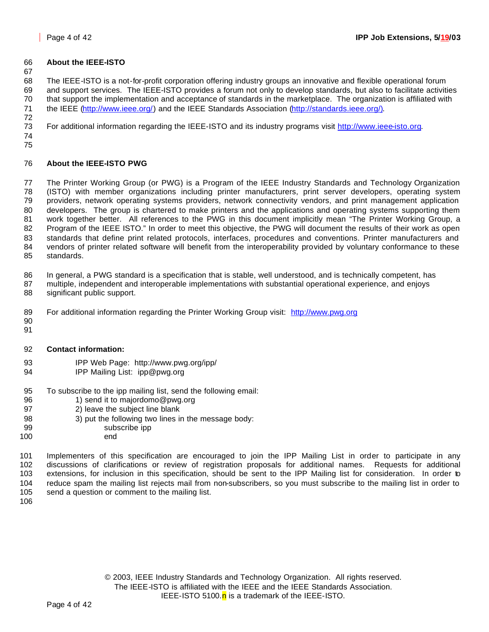## **About the IEEE-ISTO**

 The IEEE-ISTO is a not-for-profit corporation offering industry groups an innovative and flexible operational forum and support services. The IEEE-ISTO provides a forum not only to develop standards, but also to facilitate activities that support the implementation and acceptance of standards in the marketplace. The organization is affiliated with the IEEE (http://www.ieee.org/) and the IEEE Standards Association (http://standards.ieee.org/). 

For additional information regarding the IEEE-ISTO and its industry programs visit http://www.ieee-isto.org.

 

## **About the IEEE-ISTO PWG**

 The Printer Working Group (or PWG) is a Program of the IEEE Industry Standards and Technology Organization (ISTO) with member organizations including printer manufacturers, print server developers, operating system providers, network operating systems providers, network connectivity vendors, and print management application developers. The group is chartered to make printers and the applications and operating systems supporting them work together better. All references to the PWG in this document implicitly mean "The Printer Working Group, a 82 Program of the IEEE ISTO." In order to meet this objective, the PWG will document the results of their work as open standards that define print related protocols, interfaces, procedures and conventions. Printer manufacturers and vendors of printer related software will benefit from the interoperability provided by voluntary conformance to these standards.

In general, a PWG standard is a specification that is stable, well understood, and is technically competent, has

- multiple, independent and interoperable implementations with substantial operational experience, and enjoys significant public support.
- 89 For additional information regarding the Printer Working Group visit: http://www.pwg.org
- 
- **Contact information:**
- IPP Web Page: http://www.pwg.org/ipp/
- IPP Mailing List: ipp@pwg.org
- To subscribe to the ipp mailing list, send the following email:
- 96 1) send it to majordomo@pwg.org
- 2) leave the subject line blank
- 98 3) put the following two lines in the message body:
- subscribe ipp
- end

 Implementers of this specification are encouraged to join the IPP Mailing List in order to participate in any discussions of clarifications or review of registration proposals for additional names. Requests for additional extensions, for inclusion in this specification, should be sent to the IPP Mailing list for consideration. In order to reduce spam the mailing list rejects mail from non-subscribers, so you must subscribe to the mailing list in order to send a question or comment to the mailing list.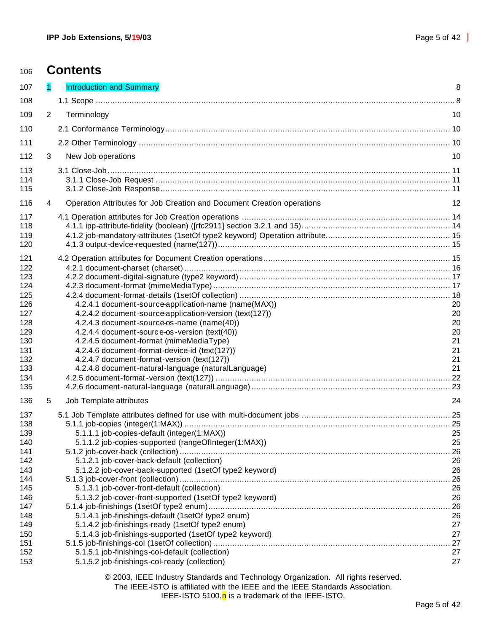# **Contents**

| 107        |                | Introduction and Summary                                                                         | 8        |
|------------|----------------|--------------------------------------------------------------------------------------------------|----------|
| 108        |                |                                                                                                  |          |
| 109        | $\overline{2}$ | Terminology                                                                                      | 10       |
| 110        |                |                                                                                                  |          |
| 111        |                |                                                                                                  |          |
| 112        | 3              | New Job operations                                                                               | 10       |
|            |                |                                                                                                  |          |
| 113<br>114 |                |                                                                                                  |          |
| 115        |                |                                                                                                  |          |
| 116        | 4              | Operation Attributes for Job Creation and Document Creation operations                           | 12       |
| 117        |                |                                                                                                  |          |
| 118        |                |                                                                                                  |          |
| 119        |                |                                                                                                  |          |
| 120        |                |                                                                                                  |          |
|            |                |                                                                                                  |          |
| 121<br>122 |                |                                                                                                  |          |
| 123        |                |                                                                                                  |          |
| 124        |                |                                                                                                  |          |
| 125        |                |                                                                                                  |          |
| 126        |                | 4.2.4.1 document-source-application-name (name(MAX))                                             | 20       |
| 127        |                | 4.2.4.2 document-source-application-version (text(127))                                          | 20       |
| 128        |                | 4.2.4.3 document-source-os-name (name(40))                                                       | 20       |
| 129        |                | 4.2.4.4 document-source-os-version (text(40))                                                    | 20       |
| 130        |                | 4.2.4.5 document-format (mimeMediaType)                                                          | 21       |
| 131        |                | 4.2.4.6 document-format-device-id (text(127))                                                    | 21       |
| 132        |                | 4.2.4.7 document-format-version (text(127))                                                      | 21       |
| 133        |                | 4.2.4.8 document-natural-language (naturalLanguage)                                              | 21       |
| 134<br>135 |                |                                                                                                  |          |
|            |                |                                                                                                  |          |
| 136        | 5              | Job Template attributes                                                                          | 24       |
| 137        |                |                                                                                                  |          |
| 138        |                |                                                                                                  |          |
| 139        |                | 5.1.1.1 job-copies-default (integer(1:MAX))                                                      | 25       |
| 140<br>141 |                | 5.1.1.2 job-copies-supported (rangeOfInteger(1:MAX))                                             | 25<br>26 |
| 142        |                | 5.1.2.1 job-cover-back-default (collection)                                                      | 26       |
| 143        |                | 5.1.2.2 job-cover-back-supported (1setOf type2 keyword)                                          | 26       |
| 144        |                |                                                                                                  | .26      |
| 145        |                | 5.1.3.1 job-cover-front-default (collection)                                                     | 26       |
| 146        |                | 5.1.3.2 job-cover-front-supported (1setOf type2 keyword)                                         | 26       |
| 147        |                |                                                                                                  | .26      |
| 148        |                | 5.1.4.1 job-finishings-default (1setOf type2 enum)                                               | 26       |
| 149        |                | 5.1.4.2 job-finishings-ready (1setOf type2 enum)                                                 | 27       |
| 150        |                | 5.1.4.3 job-finishings-supported (1setOf type2 keyword)                                          | 27       |
| 151        |                |                                                                                                  | . 27     |
| 152<br>153 |                | 5.1.5.1 job-finishings-col-default (collection)<br>5.1.5.2 job-finishings-col-ready (collection) | 27<br>27 |
|            |                |                                                                                                  |          |
|            |                | © 2003, IEEE Industry Standards and Technology Organization. All rights reserved.                |          |

The IEEE-ISTO is affiliated with the IEEE and the IEEE Standards Association.

IEEE-ISTO 5100. $n$  is a trademark of the IEEE-ISTO.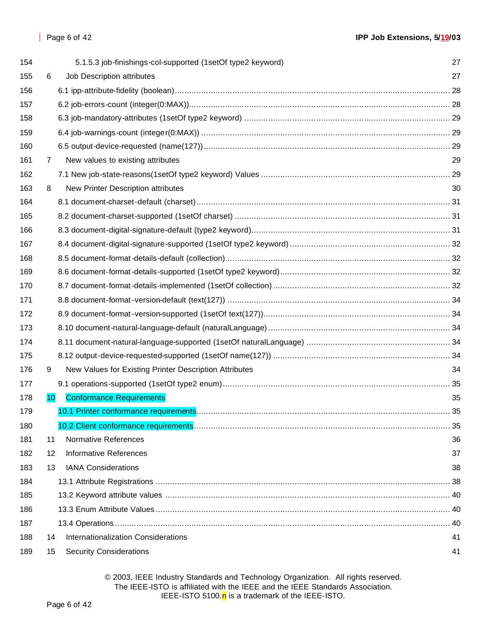| 154 |    | 5.1.5.3 job-finishings-col-supported (1setOf type2 keyword) | 27 |
|-----|----|-------------------------------------------------------------|----|
| 155 | 6  | Job Description attributes                                  | 27 |
| 156 |    |                                                             |    |
| 157 |    |                                                             |    |
| 158 |    |                                                             |    |
| 159 |    |                                                             |    |
| 160 |    |                                                             |    |
| 161 | 7  | New values to existing attributes                           | 29 |
| 162 |    |                                                             |    |
| 163 | 8  | New Printer Description attributes                          | 30 |
| 164 |    |                                                             |    |
| 165 |    |                                                             |    |
| 166 |    |                                                             |    |
| 167 |    |                                                             |    |
| 168 |    |                                                             |    |
| 169 |    |                                                             |    |
| 170 |    |                                                             |    |
| 171 |    |                                                             |    |
| 172 |    |                                                             |    |
| 173 |    |                                                             |    |
| 174 |    |                                                             |    |
| 175 |    |                                                             |    |
| 176 | 9  | New Values for Existing Printer Description Attributes      | 34 |
| 177 |    |                                                             |    |
| 178 | 10 | <b>Conformance Requirements</b>                             | 35 |
| 179 |    | 10.1 Printer conformance requirements                       | 35 |
| 180 |    |                                                             |    |
| 181 | 11 | <b>Normative References</b>                                 | 36 |
| 182 | 12 | <b>Informative References</b>                               | 37 |
| 183 | 13 | <b>IANA Considerations</b>                                  | 38 |
| 184 |    |                                                             |    |
| 185 |    |                                                             |    |
| 186 |    |                                                             |    |
| 187 |    |                                                             |    |
| 188 | 14 | Internationalization Considerations                         | 41 |
| 189 | 15 | <b>Security Considerations</b>                              | 41 |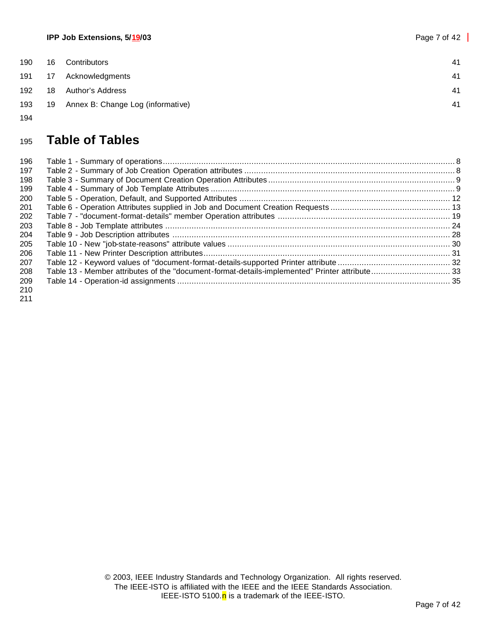| 190 | 16 | Contributors                      | 41 |
|-----|----|-----------------------------------|----|
| 191 | 17 | Acknowledgments                   | 41 |
| 192 | 18 | Author's Address                  | 41 |
| 193 | 19 | Annex B: Change Log (informative) | 41 |

# **Table of Tables**

| 196 |                                                                                               |  |
|-----|-----------------------------------------------------------------------------------------------|--|
| 197 |                                                                                               |  |
| 198 |                                                                                               |  |
| 199 |                                                                                               |  |
| 200 |                                                                                               |  |
| 201 |                                                                                               |  |
| 202 |                                                                                               |  |
| 203 |                                                                                               |  |
| 204 |                                                                                               |  |
| 205 |                                                                                               |  |
| 206 |                                                                                               |  |
| 207 |                                                                                               |  |
| 208 | Table 13 - Member attributes of the "document-format-details-implemented" Printer attribute33 |  |
| 209 |                                                                                               |  |
| 210 |                                                                                               |  |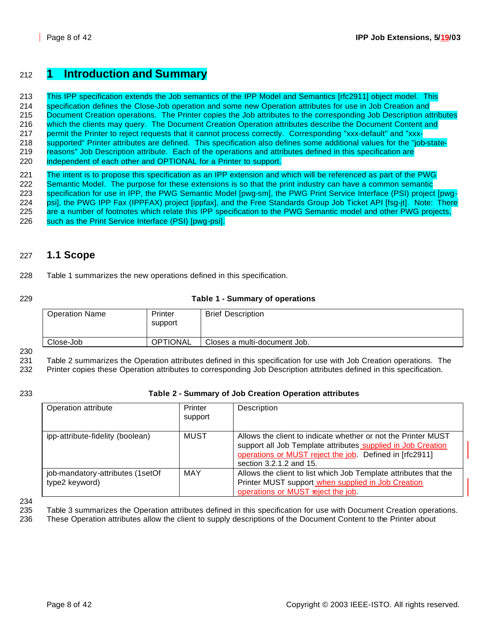# <sup>212</sup> **1 Introduction and Summary**

 This IPP specification extends the Job semantics of the IPP Model and Semantics [rfc2911] object model. This specification defines the Close-Job operation and some new Operation attributes for use in Job Creation and 215 Document Creation operations. The Printer copies the Job attributes to the corresponding Job Description attributes which the clients may query. The Document Creation Operation attributes describe the Document Content and permit the Printer to reject requests that it cannot process correctly. Corresponding "xxx-default" and "xxx- supported" Printer attributes are defined. This specification also defines some additional values for the "job-state- reasons" Job Description attribute. Each of the operations and attributes defined in this specification are independent of each other and OPTIONAL for a Printer to support.

 The intent is to propose this specification as an IPP extension and which will be referenced as part of the PWG 222 Semantic Model. The purpose for these extensions is so that the print industry can have a common semantic specification for use in IPP, the PWG Semantic Model [pwg-sm], the PWG Print Service Interface (PSI) project [pwg- psi], the PWG IPP Fax (IPPFAX) project [ippfax], and the Free Standards Group Job Ticket API [fsg-jt]. Note: There are a number of footnotes which relate this IPP specification to the PWG Semantic model and other PWG projects, 226 such as the Print Service Interface (PSI) [pwg-psi].

## 227 **1.1 Scope**

228 Table 1 summarizes the new operations defined in this specification.

#### 229 **Table 1 - Summary of operations**

| <b>Operation Name</b> | Printer<br>support | <b>Brief Description</b>     |
|-----------------------|--------------------|------------------------------|
| Close-Job             | <b>OPTIONAL</b>    | Closes a multi-document Job. |

230

231 Table 2 summarizes the Operation attributes defined in this specification for use with Job Creation operations. The 232 Printer copies these Operation attributes to corresponding Job Description attributes defined in this specification.

## 233 **Table 2 - Summary of Job Creation Operation attributes**

| Operation attribute                                | Printer<br>support | Description                                                                                                                                                                                                         |
|----------------------------------------------------|--------------------|---------------------------------------------------------------------------------------------------------------------------------------------------------------------------------------------------------------------|
| ipp-attribute-fidelity (boolean)                   | MUST               | Allows the client to indicate whether or not the Printer MUST<br>support all Job Template attributes supplied in Job Creation<br>operations or MUST reject the job. Defined in [rfc2911]<br>section 3.2.1.2 and 15. |
| job-mandatory-attributes (1setOf<br>type2 keyword) | <b>MAY</b>         | Allows the client to list which Job Template attributes that the<br>Printer MUST support when supplied in Job Creation<br>operations or MUST reject the job.                                                        |

234

235 Table 3 summarizes the Operation attributes defined in this specification for use with Document Creation operations.

236 These Operation attributes allow the client to supply descriptions of the Document Content to the Printer about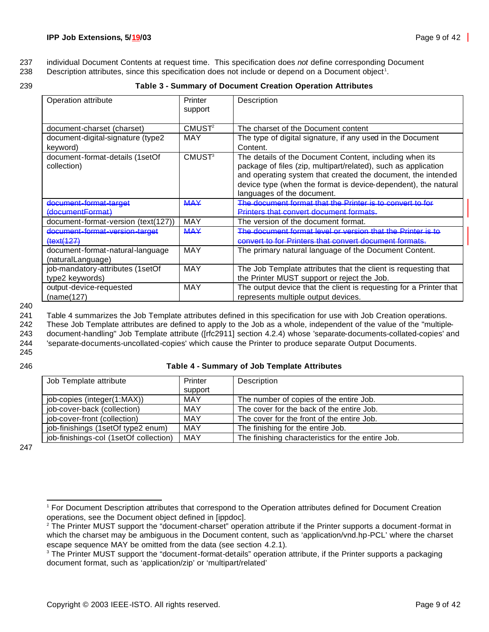237 individual Document Contents at request time. This specification does *not* define corresponding Document

238 Description attributes, since this specification does not include or depend on a Document object<sup>1</sup>.

| œ |  |
|---|--|
|   |  |

#### 239 **Table 3 - Summary of Document Creation Operation Attributes**

| Operation attribute                                   | Printer<br>support       | Description                                                                                                                                                                                                                                                                               |
|-------------------------------------------------------|--------------------------|-------------------------------------------------------------------------------------------------------------------------------------------------------------------------------------------------------------------------------------------------------------------------------------------|
| document-charset (charset)                            | CMUST <sup>2</sup>       | The charset of the Document content                                                                                                                                                                                                                                                       |
| document-digital-signature (type2<br>keyword)         | MAY                      | The type of digital signature, if any used in the Document<br>Content.                                                                                                                                                                                                                    |
| document-format-details (1setOf<br>collection)        | <b>CMUST<sup>3</sup></b> | The details of the Document Content, including when its<br>package of files (zip, multipart/related), such as application<br>and operating system that created the document, the intended<br>device type (when the format is device-dependent), the natural<br>languages of the document. |
| document-format-target                                | <b>MAY</b>               | The document format that the Printer is to convert to for                                                                                                                                                                                                                                 |
| (documentFormat)                                      |                          | Printers that convert document formats.                                                                                                                                                                                                                                                   |
| document-format-version (text(127))                   | <b>MAY</b>               | The version of the document format.                                                                                                                                                                                                                                                       |
| document-format-version-target                        | <b>MAY</b>               | The document format level or version that the Printer is to                                                                                                                                                                                                                               |
| (127)                                                 |                          | convert to for Printers that convert document formats.                                                                                                                                                                                                                                    |
| document-format-natural-language<br>(naturalLanguage) | MAY                      | The primary natural language of the Document Content.                                                                                                                                                                                                                                     |
| job-mandatory-attributes (1setOf                      | MAY                      | The Job Template attributes that the client is requesting that                                                                                                                                                                                                                            |
| type2 keywords)                                       |                          | the Printer MUST support or reject the Job.                                                                                                                                                                                                                                               |
| output-device-requested                               | MAY                      | The output device that the client is requesting for a Printer that                                                                                                                                                                                                                        |
| (name(127)                                            |                          | represents multiple output devices.                                                                                                                                                                                                                                                       |

240

241 Table 4 summarizes the Job Template attributes defined in this specification for use with Job Creation operations. 242 These Job Template attributes are defined to apply to the Job as a whole, independent of the value of the "multiple-243 document-handling" Job Template attribute ([rfc2911] section 4.2.4) whose 'separate-documents-collated-copies' and

244 'separate-documents-uncollated-copies' which cause the Printer to produce separate Output Documents. 245

#### 246 **Table 4 - Summary of Job Template Attributes**

| Job Template attribute                 | Printer    | Description                                       |
|----------------------------------------|------------|---------------------------------------------------|
|                                        | support    |                                                   |
| job-copies (integer(1:MAX))            | <b>MAY</b> | The number of copies of the entire Job.           |
| job-cover-back (collection)            | <b>MAY</b> | The cover for the back of the entire Job.         |
| job-cover-front (collection)           | <b>MAY</b> | The cover for the front of the entire Job.        |
| job-finishings (1setOf type2 enum)     | MAY        | The finishing for the entire Job.                 |
| job-finishings-col (1setOf collection) | MAY        | The finishing characteristics for the entire Job. |

247

<sup>1</sup> For Document Description attributes that correspond to the Operation attributes defined for Document Creation operations, see the Document object defined in [ippdoc].

<sup>&</sup>lt;sup>2</sup> The Printer MUST support the "document-charset" operation attribute if the Printer supports a document-format in which the charset may be ambiguous in the Document content, such as 'application/vnd.hp-PCL' where the charset escape sequence MAY be omitted from the data (see section 4.2.1).

<sup>&</sup>lt;sup>3</sup> The Printer MUST support the "document-format-details" operation attribute, if the Printer supports a packaging document format, such as 'application/zip' or 'multipart/related'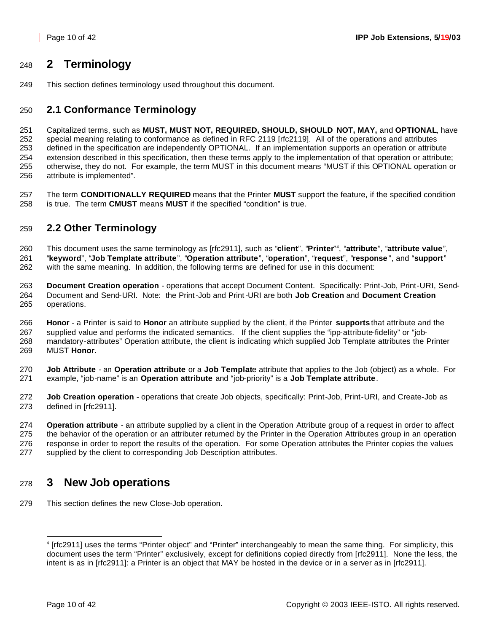# **2 Terminology**

This section defines terminology used throughout this document.

# **2.1 Conformance Terminology**

 Capitalized terms, such as **MUST, MUST NOT, REQUIRED, SHOULD, SHOULD NOT, MAY,** and **OPTIONAL**, have special meaning relating to conformance as defined in RFC 2119 [rfc2119]. All of the operations and attributes defined in the specification are independently OPTIONAL. If an implementation supports an operation or attribute extension described in this specification, then these terms apply to the implementation of that operation or attribute; otherwise, they do not. For example, the term MUST in this document means "MUST if this OPTIONAL operation or attribute is implemented"*.*

 The term **CONDITIONALLY REQUIRED** means that the Printer **MUST** support the feature, if the specified condition is true. The term **CMUST** means **MUST** if the specified "condition" is true.

# **2.2 Other Terminology**

This document uses the same terminology as [rfc2911], such as "**client**", "**Printer**" <sup>4</sup> , "**attribute**", "**attribute value**", "**keyword**", "**Job Template attribute**", "**Operation attribute**", "**operation**", "**request**", "**response** ", and "**support**" with the same meaning. In addition, the following terms are defined for use in this document:

 **Document Creation operation** - operations that accept Document Content. Specifically: Print-Job, Print-URI, Send- Document and Send-URI. Note: the Print-Job and Print-URI are both **Job Creation** and **Document Creation** operations.

 **Honor** - a Printer is said to **Honor** an attribute supplied by the client, if the Printer **supports** that attribute and the supplied value and performs the indicated semantics. If the client supplies the "ipp-attribute-fidelity" or "job- mandatory-attributes" Operation attribute, the client is indicating which supplied Job Template attributes the Printer MUST **Honor**.

 **Job Attribute** - an **Operation attribute** or a **Job Templat**e attribute that applies to the Job (object) as a whole. For example, "job-name" is an **Operation attribute** and "job-priority" is a **Job Template attribute**.

 **Job Creation operation** - operations that create Job objects, specifically: Print-Job, Print-URI, and Create-Job as defined in [rfc2911].

 **Operation attribute** - an attribute supplied by a client in the Operation Attribute group of a request in order to affect the behavior of the operation or an attributer returned by the Printer in the Operation Attributes group in an operation response in order to report the results of the operation. For some Operation attributes the Printer copies the values supplied by the client to corresponding Job Description attributes.

# **3 New Job operations**

This section defines the new Close-Job operation.

 [rfc2911] uses the terms "Printer object" and "Printer" interchangeably to mean the same thing. For simplicity, this document uses the term "Printer" exclusively, except for definitions copied directly from [rfc2911]. None the less, the intent is as in [rfc2911]: a Printer is an object that MAY be hosted in the device or in a server as in [rfc2911].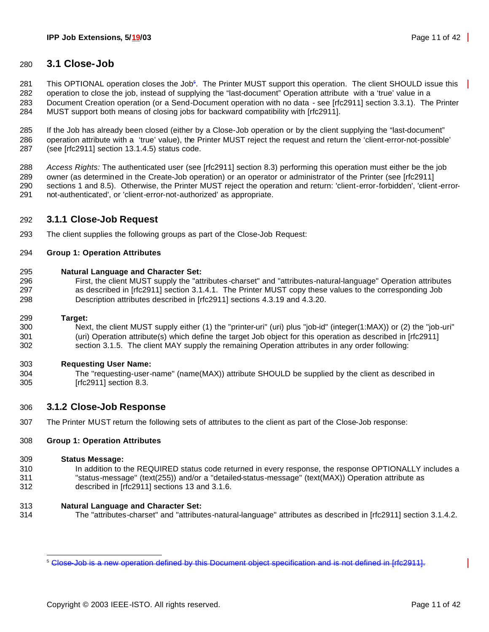## **3.1 Close-Job**

281 This OPTIONAL operation closes the Job<sup>5</sup>. The Printer MUST support this operation. The client SHOULD issue this

 operation to close the job, instead of supplying the "last-document" Operation attribute with a 'true' value in a Document Creation operation (or a Send-Document operation with no data - see [rfc2911] section 3.3.1). The Printer MUST support both means of closing jobs for backward compatibility with [rfc2911].

 If the Job has already been closed (either by a Close-Job operation or by the client supplying the "last-document" operation attribute with a 'true' value), the Printer MUST reject the request and return the 'client-error-not-possible' (see [rfc2911] section 13.1.4.5) status code.

 *Access Rights:* The authenticated user (see [rfc2911] section 8.3) performing this operation must either be the job owner (as determined in the Create-Job operation) or an operator or administrator of the Printer (see [rfc2911] sections 1 and 8.5). Otherwise, the Printer MUST reject the operation and return: 'client-error-forbidden', 'client-error-not-authenticated', or 'client-error-not-authorized' as appropriate.

## **3.1.1 Close-Job Request**

The client supplies the following groups as part of the Close-Job Request:

#### **Group 1: Operation Attributes**

- **Natural Language and Character Set:**
- First, the client MUST supply the "attributes -charset" and "attributes-natural-language" Operation attributes as described in [rfc2911] section 3.1.4.1. The Printer MUST copy these values to the corresponding Job Description attributes described in [rfc2911] sections 4.3.19 and 4.3.20.

#### **Target:**

 Next, the client MUST supply either (1) the "printer-uri" (uri) plus "job-id" (integer(1:MAX)) or (2) the "job-uri" (uri) Operation attribute(s) which define the target Job object for this operation as described in [rfc2911] section 3.1.5. The client MAY supply the remaining Operation attributes in any order following:

#### **Requesting User Name:**

 The "requesting-user-name" (name(MAX)) attribute SHOULD be supplied by the client as described in [rfc2911] section 8.3.

## **3.1.2 Close-Job Response**

The Printer MUST return the following sets of attributes to the client as part of the Close-Job response:

#### **Group 1: Operation Attributes**

#### **Status Message:**

- In addition to the REQUIRED status code returned in every response, the response OPTIONALLY includes a "status-message" (text(255)) and/or a "detailed-status-message" (text(MAX)) Operation attribute as described in [rfc2911] sections 13 and 3.1.6.
- **Natural Language and Character Set:**
- The "attributes-charset" and "attributes-natural-language" attributes as described in [rfc2911] section 3.1.4.2.

Close-Job is a new operation defined by this Document object specification and is not defined in [rfc2911].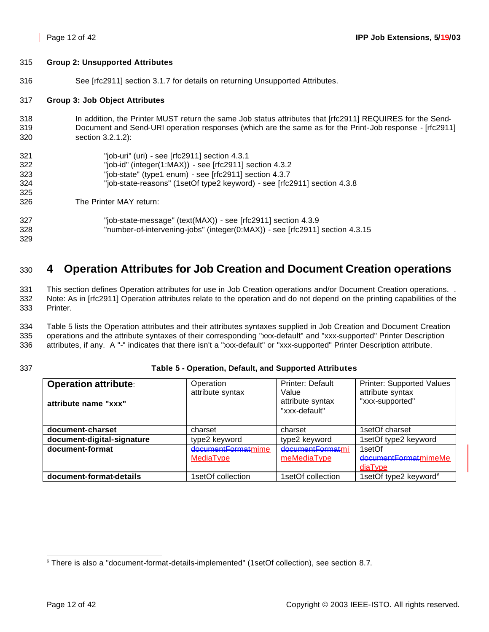#### 315 **Group 2: Unsupported Attributes**

316 See [rfc2911] section 3.1.7 for details on returning Unsupported Attributes.

#### 317 **Group 3: Job Object Attributes**

318 In addition, the Printer MUST return the same Job status attributes that [rfc2911] REQUIRES for the Send-319 Document and Send-URI operation responses (which are the same as for the Print-Job response - [rfc2911] 320 section 3.2.1.2):

| 321 | "job-uri" (uri) - see [rfc2911] section 4.3.1                                |
|-----|------------------------------------------------------------------------------|
| 322 | "job-id" (integer(1:MAX)) - see [rfc2911] section 4.3.2                      |
| 323 | "job-state" (type1 enum) - see [rfc2911] section 4.3.7                       |
| 324 | "job-state-reasons" (1setOf type2 keyword) - see [rfc2911] section 4.3.8     |
| 325 |                                                                              |
| 326 | The Printer MAY return:                                                      |
| 327 | "job-state-message" (text(MAX)) - see [rfc2911] section 4.3.9                |
| 328 | "number-of-intervening-jobs" (integer(0:MAX)) - see [rfc2911] section 4.3.15 |
| 329 |                                                                              |

# <sup>330</sup> **4 Operation Attributes for Job Creation and Document Creation operations**

331 This section defines Operation attributes for use in Job Creation operations and/or Document Creation operations. . 332 Note: As in [rfc2911] Operation attributes relate to the operation and do not depend on the printing capabilities of the 333 Printer.

334 Table 5 lists the Operation attributes and their attributes syntaxes supplied in Job Creation and Document Creation 335 operations and the attribute syntaxes of their corresponding "xxx-default" and "xxx-supported" Printer Description 336 attributes, if any. A "-" indicates that there isn't a "xxx-default" or "xxx-supported" Printer Description attribute.

#### 337 **Table 5 - Operation, Default, and Supported Attributes**

| <b>Operation attribute:</b><br>attribute name "xxx" | Operation<br>attribute syntax | Printer: Default<br>Value<br>attribute syntax<br>"xxx-default" | <b>Printer: Supported Values</b><br>attribute syntax<br>"xxx-supported" |
|-----------------------------------------------------|-------------------------------|----------------------------------------------------------------|-------------------------------------------------------------------------|
| document-charset                                    | charset                       | charset                                                        | 1setOf charset                                                          |
| document-digital-signature                          | type2 keyword                 | type2 keyword                                                  | 1setOf type2 keyword                                                    |
| document-format                                     | documentFormatmime            | documentFormatmi                                               | 1setOf                                                                  |
|                                                     | MediaType                     | meMediaType                                                    | documentFormatmimeMe                                                    |
|                                                     |                               |                                                                | diaType                                                                 |
| document-format-details                             | 1setOf collection             | 1setOf collection                                              | 1setOf type2 keyword <sup>6</sup>                                       |

<sup>6</sup> There is also a "document-format-details-implemented" (1setOf collection), see section 8.7.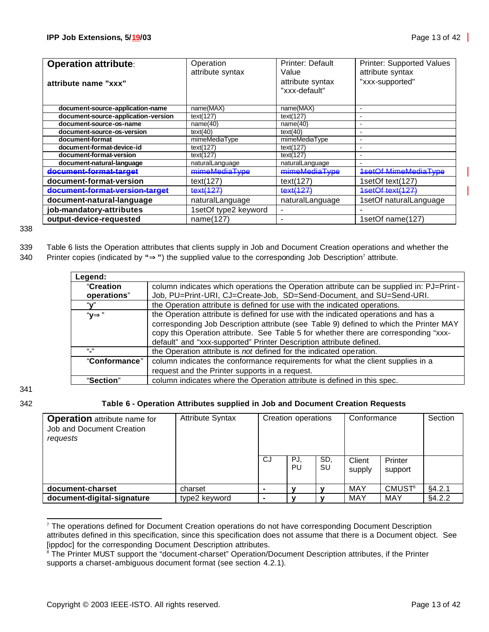| <b>Operation attribute:</b>         | Operation            | Printer: Default | Printer: Supported Values   |
|-------------------------------------|----------------------|------------------|-----------------------------|
|                                     | attribute syntax     | Value            | attribute syntax            |
| attribute name "xxx"                |                      | attribute syntax | "xxx-supported"             |
|                                     |                      | "xxx-default"    |                             |
|                                     |                      |                  |                             |
| document-source-application-name    | name(MAX)            | name(MAX)        | $\blacksquare$              |
| document-source-application-version | text(127)            | text(127)        |                             |
| document-source-os-name             | name(40)             | name(40)         | ۰                           |
| document-source-os-version          | text(40)             | text(40)         |                             |
| document-format                     | mimeMediaType        | mimeMediaType    | $\overline{\phantom{0}}$    |
| document-format-device-id           | text(127)            | text(127)        |                             |
| document-format-version             | text(127)            | text(127)        | ٠                           |
| document-natural-language           | naturalLanguage      | naturalLanguage  |                             |
| document-format-target              | mimeMediaType        | mimeMediaType    | <b>1setOf MimeMediaType</b> |
| document-format-version             | text(127)            | text(127)        | 1setOf text(127)            |
| document-format-version-target      | text(127)            | text(127)        | 1setOf text(127)            |
| document-natural-language           | naturalLanguage      | naturalLanguage  | 1setOf naturalLanguage      |
| job-mandatory-attributes            | 1setOf type2 keyword |                  |                             |
| output-device-requested             | name(127)            | ۰                | 1setOf name(127)            |

338

339 Table 6 lists the Operation attributes that clients supply in Job and Document Creation operations and whether the

| 340 | Printer copies (indicated by " $\blacktriangleright$ ") the supplied value to the corresponding Job Description <sup>7</sup> attribute. |  |  |  |  |  |  |  |
|-----|-----------------------------------------------------------------------------------------------------------------------------------------|--|--|--|--|--|--|--|
|-----|-----------------------------------------------------------------------------------------------------------------------------------------|--|--|--|--|--|--|--|

| Legend:       |                                                                                         |
|---------------|-----------------------------------------------------------------------------------------|
| "Creation     | column indicates which operations the Operation attribute can be supplied in: PJ=Print- |
| operations"   | Job, PU=Print-URI, CJ=Create-Job, SD=Send-Document, and SU=Send-URI.                    |
| "v"           | the Operation attribute is defined for use with the indicated operations.               |
| " $V$         | the Operation attribute is defined for use with the indicated operations and has a      |
|               | corresponding Job Description attribute (see Table 9) defined to which the Printer MAY  |
|               | copy this Operation attribute. See Table 5 for whether there are corresponding "xxx-    |
|               | default" and "xxx-supported" Printer Description attribute defined.                     |
| 66 99         | the Operation attribute is not defined for the indicated operation.                     |
| "Conformance" | column indicates the conformance requirements for what the client supplies in a         |
|               | request and the Printer supports in a request.                                          |
| "Section"     | column indicates where the Operation attribute is defined in this spec.                 |

341

## 342 **Table 6 - Operation Attributes supplied in Job and Document Creation Requests**

| <b>Operation</b> attribute name for<br>Job and Document Creation<br>requests | <b>Attribute Syntax</b> | Creation operations |           | Conformance |                  | Section                  |        |
|------------------------------------------------------------------------------|-------------------------|---------------------|-----------|-------------|------------------|--------------------------|--------|
|                                                                              |                         | CJ                  | PJ.<br>PU | SD,<br>SU   | Client<br>supply | Printer<br>support       |        |
| document-charset                                                             | charset                 |                     | v         |             | <b>MAY</b>       | <b>CMUST<sup>8</sup></b> | §4.2.1 |
| document-digital-signature                                                   | type2 keyword           |                     | v         |             | <b>MAY</b>       | MAY                      | §4.2.2 |

<sup>&</sup>lt;sup>7</sup> The operations defined for Document Creation operations do not have corresponding Document Description attributes defined in this specification, since this specification does not assume that there is a Document object. See [ippdoc] for the corresponding Document Description attributes.

<sup>&</sup>lt;sup>8</sup> The Printer MUST support the "document-charset" Operation/Document Description attributes, if the Printer supports a charset-ambiguous document format (see section 4.2.1).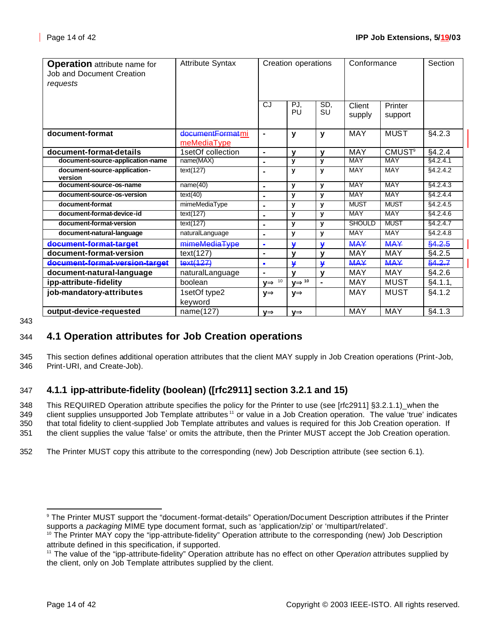| <b>Operation</b> attribute name for<br><b>Job and Document Creation</b><br>requests | <b>Attribute Syntax</b>         | Creation operations |                    | Conformance      |                  | Section                  |          |
|-------------------------------------------------------------------------------------|---------------------------------|---------------------|--------------------|------------------|------------------|--------------------------|----------|
|                                                                                     |                                 | <b>CJ</b>           | PJ.<br>PU          | SD,<br><b>SU</b> | Client<br>supply | Printer<br>support       |          |
| document-format                                                                     | documentFormatmi<br>meMediaType | $\blacksquare$      | y                  | $\mathbf{y}$     | <b>MAY</b>       | <b>MUST</b>              | §4.2.3   |
| document-format-details                                                             | 1setOf collection               | $\blacksquare$      | $\mathbf v$        | $\mathbf v$      | <b>MAY</b>       | <b>CMUST<sup>9</sup></b> | §4.2.4   |
| document-source-application-name                                                    | name(MAX)                       | ä,                  | у                  | y                | <b>MAY</b>       | <b>MAY</b>               | §4.2.4.1 |
| document-source-application-<br>version                                             | text(127)                       | $\blacksquare$      | y                  | y                | <b>MAY</b>       | <b>MAY</b>               | §4.2.4.2 |
| document-source-os-name                                                             | name(40)                        | $\blacksquare$      | y                  | y                | <b>MAY</b>       | <b>MAY</b>               | §4.2.4.3 |
| document-source-os-version                                                          | text(40)                        | $\blacksquare$      | у                  | y                | <b>MAY</b>       | <b>MAY</b>               | §4.2.4.4 |
| document-format                                                                     | mimeMediaType                   | $\blacksquare$      | y                  | $\mathbf{v}$     | <b>MUST</b>      | <b>MUST</b>              | §4.2.4.5 |
| document-format-device-id                                                           | text(127)                       | $\blacksquare$      | у                  | $\mathbf{y}$     | <b>MAY</b>       | <b>MAY</b>               | §4.2.4.6 |
| document-format-version                                                             | text(127)                       | $\blacksquare$      | y                  | y                | <b>SHOULD</b>    | <b>MUST</b>              | §4.2.4.7 |
| document-natural-language                                                           | naturalLanguage                 | ä,                  | y                  | y                | <b>MAY</b>       | <b>MAY</b>               | §4.2.4.8 |
| document-format-target                                                              | mimeMediaType                   | $\blacksquare$      | ¥                  | ¥                | <b>MAY</b>       | <b>MAY</b>               | \$4.2.5  |
| document-format-version                                                             | text(127)                       | $\blacksquare$      | $\mathbf v$        | $\mathbf v$      | MAY              | <b>MAY</b>               | §4.2.5   |
| document-format-version-target                                                      | text(127)                       | $\blacksquare$      | ¥                  | $\mathbf{v}$     | <b>MAY</b>       | <b>MAY</b>               | \$4.2.7  |
| document-natural-language                                                           | naturalLanguage                 | $\blacksquare$      | $\mathbf v$        | $\mathbf v$      | <b>MAY</b>       | <b>MAY</b>               | §4.2.6   |
| ipp-attribute-fidelity                                                              | boolean                         | $yI^{-10}$          | $V\mathbf{P}^{10}$ | $\blacksquare$   | <b>MAY</b>       | <b>MUST</b>              | §4.1.1,  |
| job-mandatory-attributes                                                            | 1setOf type2                    | уÞ                  | уÞ                 |                  | <b>MAY</b>       | <b>MUST</b>              | §4.1.2   |
|                                                                                     | keyword                         |                     |                    |                  |                  |                          |          |
| output-device-requested                                                             | name(127)                       | ٧Þ                  | ٧Þ                 |                  | <b>MAY</b>       | <b>MAY</b>               | §4.1.3   |

343

# 344 **4.1 Operation attributes for Job Creation operations**

345 This section defines additional operation attributes that the client MAY supply in Job Creation operations (Print-Job, 346 Print-URI, and Create-Job).

# 347 **4.1.1 ipp-attribute-fidelity (boolean) ([rfc2911] section 3.2.1 and 15)**

 This REQUIRED Operation attribute specifies the policy for the Printer to use (see [rfc2911] §3.2.1.1)\_when the 349 client supplies unsupported Job Template attributes <sup>11</sup> or value in a Job Creation operation. The value 'true' indicates that total fidelity to client-supplied Job Template attributes and values is required for this Job Creation operation. If the client supplies the value 'false' or omits the attribute, then the Printer MUST accept the Job Creation operation.

352 The Printer MUST copy this attribute to the corresponding (new) Job Description attribute (see section 6.1).

<sup>9</sup> The Printer MUST support the "document-format-details" Operation/Document Description attributes if the Printer supports a *packaging* MIME type document format, such as 'application/zip' or 'multipart/related'.

<sup>&</sup>lt;sup>10</sup> The Printer MAY copy the "ipp-attribute-fidelity" Operation attribute to the corresponding (new) Job Description attribute defined in this specification, if supported.

<sup>11</sup> The value of the "ipp-attribute-fidelity" Operation attribute has no effect on other O*peration* attributes supplied by the client, only on Job Template attributes supplied by the client.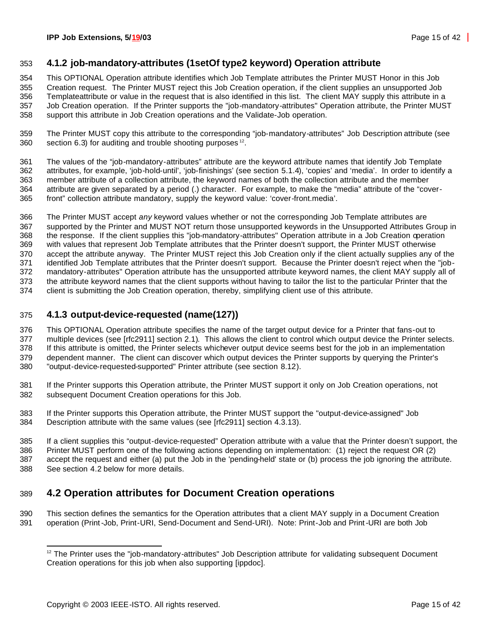## **4.1.2 job-mandatory-attributes (1setOf type2 keyword) Operation attribute**

This OPTIONAL Operation attribute identifies which Job Template attributes the Printer MUST Honor in this Job

 Creation request. The Printer MUST reject this Job Creation operation, if the client supplies an unsupported Job Templateattribute or value in the request that is also identified in this list. The client MAY supply this attribute in a Job Creation operation. If the Printer supports the "job-mandatory-attributes" Operation attribute, the Printer MUST

support this attribute in Job Creation operations and the Validate-Job operation.

 The Printer MUST copy this attribute to the corresponding "job-mandatory-attributes" Job Description attribute (see section 6.3) for auditing and trouble shooting purposes <sup>12</sup>.

 The values of the "job-mandatory-attributes" attribute are the keyword attribute names that identify Job Template attributes, for example, 'job-hold-until', 'job-finishings' (see section 5.1.4), 'copies' and 'media'. In order to identify a member attribute of a collection attribute, the keyword names of both the collection attribute and the member attribute are given separated by a period (.) character. For example, to make the "media" attribute of the "cover-front" collection attribute mandatory, supply the keyword value: 'cover-front.media'.

 The Printer MUST accept *any* keyword values whether or not the corresponding Job Template attributes are supported by the Printer and MUST NOT return those unsupported keywords in the Unsupported Attributes Group in the response. If the client supplies this "job-mandatory-attributes" Operation attribute in a Job Creation operation with values that represent Job Template attributes that the Printer doesn't support, the Printer MUST otherwise accept the attribute anyway. The Printer MUST reject this Job Creation only if the client actually supplies any of the identified Job Template attributes that the Printer doesn't support. Because the Printer doesn't reject when the "job- mandatory-attributes" Operation attribute has the unsupported attribute keyword names, the client MAY supply all of the attribute keyword names that the client supports without having to tailor the list to the particular Printer that the client is submitting the Job Creation operation, thereby, simplifying client use of this attribute.

## **4.1.3 output-device-requested (name(127))**

 This OPTIONAL Operation attribute specifies the name of the target output device for a Printer that fans-out to multiple devices (see [rfc2911] section 2.1). This allows the client to control which output device the Printer selects. If this attribute is omitted, the Printer selects whichever output device seems best for the job in an implementation dependent manner. The client can discover which output devices the Printer supports by querying the Printer's "output-device-requested-supported" Printer attribute (see section 8.12).

 If the Printer supports this Operation attribute, the Printer MUST support it only on Job Creation operations, not subsequent Document Creation operations for this Job.

 If the Printer supports this Operation attribute, the Printer MUST support the "output-device-assigned" Job Description attribute with the same values (see [rfc2911] section 4.3.13).

 If a client supplies this "output-device-requested" Operation attribute with a value that the Printer doesn't support, the Printer MUST perform one of the following actions depending on implementation: (1) reject the request OR (2) accept the request and either (a) put the Job in the 'pending-held' state or (b) process the job ignoring the attribute. See section 4.2 below for more details.

# **4.2 Operation attributes for Document Creation operations**

 This section defines the semantics for the Operation attributes that a client MAY supply in a Document Creation operation (Print-Job, Print-URI, Send-Document and Send-URI). Note: Print-Job and Print-URI are both Job

<sup>&</sup>lt;sup>12</sup> The Printer uses the "job-mandatory-attributes" Job Description attribute for validating subsequent Document Creation operations for this job when also supporting [ippdoc].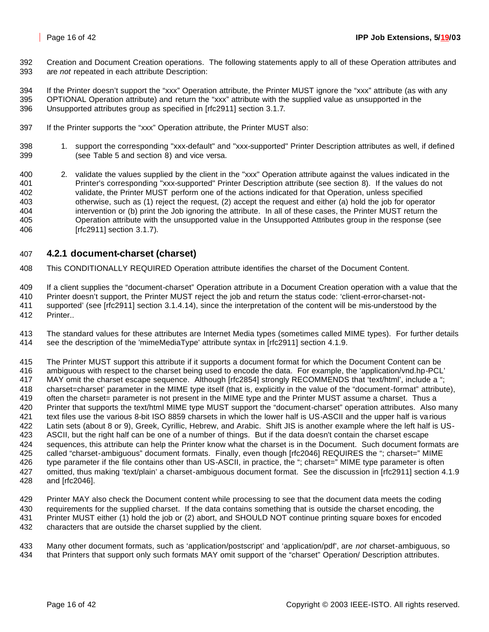Creation and Document Creation operations. The following statements apply to all of these Operation attributes and are *not* repeated in each attribute Description:

 If the Printer doesn't support the "xxx" Operation attribute, the Printer MUST ignore the "xxx" attribute (as with any OPTIONAL Operation attribute) and return the "xxx" attribute with the supplied value as unsupported in the Unsupported attributes group as specified in [rfc2911] section 3.1.7.

- If the Printer supports the "xxx" Operation attribute, the Printer MUST also:
- 1. support the corresponding "xxx-default" and "xxx-supported" Printer Description attributes as well, if defined (see Table 5 and section 8) and vice versa.
- 2. validate the values supplied by the client in the "xxx" Operation attribute against the values indicated in the Printer's corresponding "xxx-supported" Printer Description attribute (see section 8). If the values do not validate, the Printer MUST perform one of the actions indicated for that Operation, unless specified otherwise, such as (1) reject the request, (2) accept the request and either (a) hold the job for operator intervention or (b) print the Job ignoring the attribute. In all of these cases, the Printer MUST return the Operation attribute with the unsupported value in the Unsupported Attributes group in the response (see [rfc2911] section 3.1.7).

## **4.2.1 document-charset (charset)**

This CONDITIONALLY REQUIRED Operation attribute identifies the charset of the Document Content.

If a client supplies the "document-charset" Operation attribute in a Document Creation operation with a value that the

Printer doesn't support, the Printer MUST reject the job and return the status code: 'client-error-charset-not-

- supported' (see [rfc2911] section 3.1.4.14), since the interpretation of the content will be mis-understood by the Printer..
- The standard values for these attributes are Internet Media types (sometimes called MIME types). For further details see the description of the 'mimeMediaType' attribute syntax in [rfc2911] section 4.1.9.

 The Printer MUST support this attribute if it supports a document format for which the Document Content can be ambiguous with respect to the charset being used to encode the data. For example, the 'application/vnd.hp-PCL' MAY omit the charset escape sequence. Although [rfc2854] strongly RECOMMENDS that 'text/html', include a "; charset=charset' parameter in the MIME type itself (that is, explicitly in the value of the "document-format" attribute), often the charset= parameter is not present in the MIME type and the Printer MUST assume a charset. Thus a Printer that supports the text/html MIME type MUST support the "document-charset" operation attributes. Also many text files use the various 8-bit ISO 8859 charsets in which the lower half is US-ASCII and the upper half is va rious Latin sets (about 8 or 9), Greek, Cyrillic, Hebrew, and Arabic. Shift JIS is another example where the left half is US- ASCII, but the right half can be one of a number of things. But if the data doesn't contain the charset escape sequences, this attribute can help the Printer know what the charset is in the Document. Such document formats are called "charset-ambiguous" document formats. Finally, even though [rfc2046] REQUIRES the "; charset=" MIME 426 type parameter if the file contains other than US-ASCII, in practice, the "; charset=" MIME type parameter is often omitted, thus making 'text/plain' a charset-ambiguous document format. See the discussion in [rfc2911] section 4.1.9 and [rfc2046].

 Printer MAY also check the Document content while processing to see that the document data meets the coding requirements for the supplied charset. If the data contains something that is outside the charset encoding, the Printer MUST either (1) hold the job or (2) abort, and SHOULD NOT continue printing square boxes for encoded characters that are outside the charset supplied by the client.

 Many other document formats, such as 'application/postscript' and 'application/pdf', are *not* charset-ambiguous, so that Printers that support only such formats MAY omit support of the "charset" Operation/ Description attributes.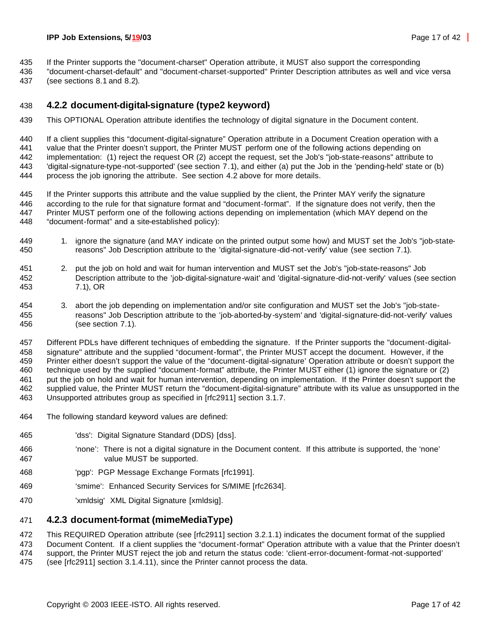If the Printer supports the "document-charset" Operation attribute, it MUST also support the corresponding

 "document-charset-default" and "document-charset-supported" Printer Description attributes as well and vice versa (see sections 8.1 and 8.2).

## **4.2.2 document-digital-signature (type2 keyword)**

This OPTIONAL Operation attribute identifies the technology of digital signature in the Document content.

 If a client supplies this "document-digital-signature" Operation attribute in a Document Creation operation with a value that the Printer doesn't support, the Printer MUST perform one of the following actions depending on implementation: (1) reject the request OR (2) accept the request, set the Job's "job-state-reasons" attribute to 'digital-signature-type-not-supported' (see section 7.1), and either (a) put the Job in the 'pending-held' state or (b) process the job ignoring the attribute. See section 4.2 above for more details.

 If the Printer supports this attribute and the value supplied by the client, the Printer MAY verify the signature according to the rule for that signature format and "document-format". If the signature does not verify, then the Printer MUST perform one of the following actions depending on implementation (which MAY depend on the "document-format" and a site-established policy):

- 1. ignore the signature (and MAY indicate on the printed output some how) and MUST set the Job's "job-state-reasons" Job Description attribute to the 'digital-signature-did-not-verify' value (see section 7.1).
- 2. put the job on hold and wait for human intervention and MUST set the Job's "job-state-reasons" Job Description attribute to the 'job-digital-signature-wait' and 'digital-signature-did-not-verify' values (see section 7.1), OR
- 3. abort the job depending on implementation and/or site configuration and MUST set the Job's "job-state- reasons" Job Description attribute to the 'job-aborted-by -system' and 'digital-signature-did-not-verify' values (see section 7.1).

 Different PDLs have different techniques of embedding the signature. If the Printer supports the "document-digital- signature" attribute and the supplied "document-format", the Printer MUST accept the document. However, if the Printer either doesn't support the value of the "document-digital-signature' Operation attribute or doesn't support the technique used by the supplied "document-format" attribute, the Printer MUST either (1) ignore the signature or (2) put the job on hold and wait for human intervention, depending on implementation. If the Printer doesn't support the supplied value, the Printer MUST return the "document-digital-signature" attribute with its value as unsupported in the Unsupported attributes group as specified in [rfc2911] section 3.1.7.

- The following standard keyword values are defined:
- 'dss': Digital Signature Standard (DDS) [dss].
- 'none': There is not a digital signature in the Document content. If this attribute is supported, the 'none' value MUST be supported.
- 'pgp': PGP Message Exchange Formats [rfc1991].
- 'smime': Enhanced Security Services for S/MIME [rfc2634].
- 'xmldsig' XML Digital Signature [xmldsig].

## **4.2.3 document-format (mimeMediaType)**

This REQUIRED Operation attribute (see [rfc2911] section 3.2.1.1) indicates the document format of the supplied

Document Content. If a client supplies the "document-format" Operation attribute with a value that the Printer doesn't

support, the Printer MUST reject the job and return the status code: 'client-error-document-format-not-supported'

(see [rfc2911] section 3.1.4.11), since the Printer cannot process the data.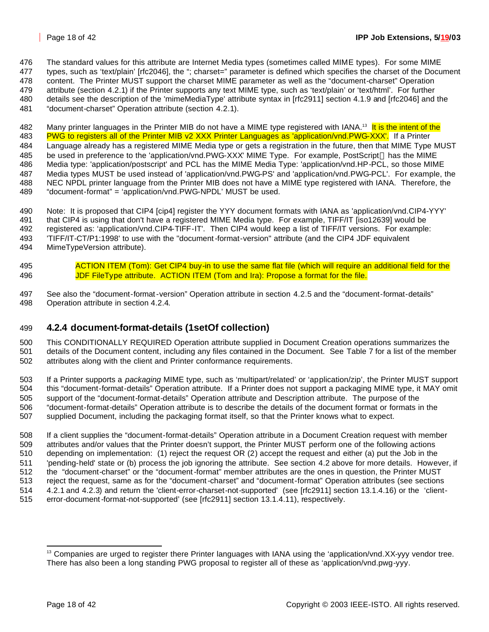The standard values for this attribute are Internet Media types (sometimes called MIME types). For some MIME

types, such as 'text/plain' [rfc2046], the "; charset=" parameter is defined which specifies the charset of the Document

 content. The Printer MUST support the charset MIME parameter as well as the "document-charset" Operation attribute (section 4.2.1) if the Printer supports any text MIME type, such as 'text/plain' or 'text/html'. For further

details see the description of the 'mimeMediaType' attribute syntax in [rfc2911] section 4.1.9 and [rfc2046] and the

"document-charset" Operation attribute (section 4.2.1).

482 Many printer languages in the Printer MIB do not have a MIME type registered with IANA.<sup>13</sup> It is the intent of the 483 PWG to registers all of the Printer MIB v2 XXX Printer Languages as 'application/vnd.PWG-XXX'. If a Printer

 Language already has a registered MIME Media type or gets a registration in the future, then that MIME Type MUST 485 be used in preference to the 'application/vnd.PWG-XXX' MIME Type. For example, PostScript ® has the MIME Media type: 'application/postscript' and PCL has the MIME Media Type: 'application/vnd.HP-PCL, so those MIME Media types MUST be used instead of 'application/vnd.PWG-PS' and 'application/vnd.PWG-PCL'. For example, the NEC NPDL printer language from the Printer MIB does not have a MIME type registered with IANA. Therefore, the "document-format" = 'application/vnd.PWG-NPDL' MUST be used.

- Note: It is proposed that CIP4 [cip4] register the YYY document formats with IANA as 'application/vnd.CIP4-YYY' that CIP4 is using that don't have a registered MIME Media type. For example, TIFF/IT [iso12639] would be registered as: 'application/vnd.CIP4-TIFF-IT'. Then CIP4 would keep a list of TIFF/IT versions. For example: 'TIFF/IT-CT/P1:1998' to use with the "document-format-version" attribute (and the CIP4 JDF equivalent
- MimeTypeVersion attribute).
- 495 ACTION ITEM (Tom): Get CIP4 buy-in to use the same flat file (which will require an additional field for the JDF FileType attribute. ACTION ITEM (Tom and Ira): Propose a format for the file.
- See also the "document-format-version" Operation attribute in section 4.2.5 and the "document-format-details" Operation attribute in section 4.2.4.

# **4.2.4 document-format-details (1setOf collection)**

 This CONDITIONALLY REQUIRED Operation attribute supplied in Document Creation operations summarizes the details of the Document content, including any files contained in the Document. See Table 7 for a list of the member attributes along with the client and Printer conformance requirements.

 If a Printer supports a *packaging* MIME type, such as 'multipart/related' or 'application/zip', the Printer MUST support this "document-format-details" Operation attribute. If a Printer does not support a packaging MIME type, it MAY omit support of the "document-format-details" Operation attribute and Description attribute. The purpose of the "document-format-details" Operation attribute is to describe the details of the document format or formats in the supplied Document, including the packaging format itself, so that the Printer knows what to expect.

 If a client supplies the "document-format-details" Operation attribute in a Document Creation request with member attributes and/or values that the Printer doesn't support, the Printer MUST perform one of the following actions depending on implementation: (1) reject the request OR (2) accept the request and either (a) put the Job in the 'pending-held' state or (b) process the job ignoring the attribute. See section 4.2 above for more details. However, if the "document-charset" or the "document-format" member attributes are the ones in question, the Printer MUST reject the request, same as for the "document-charset" and "document-format" Operation attributes (see sections 4.2.1 and 4.2.3) and return the 'client-error-charset-not-supported' (see [rfc2911] section 13.1.4.16) or the 'client-error-document-format-not-supported' (see [rfc2911] section 13.1.4.11), respectively.

 Companies are urged to register there Printer languages with IANA using the 'application/vnd. $XX$ -yyy vendor tree. There has also been a long standing PWG proposal to register all of these as 'application/vnd.pwg-yyy.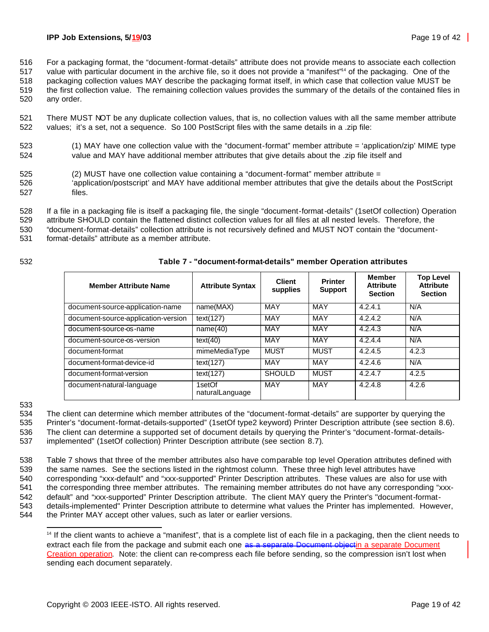516 For a packaging format, the "document-format-details" attribute does not provide means to associate each collection

517 value with particular document in the archive file, so it does not provide a "manifest"<sup>4</sup> of the packaging. One of the 518 packaging collection values MAY describe the packaging format itself, in which case that collection value MUST be

519 the first collection value. The remaining collection values provides the summary of the details of the contained files in

520 any order.

521 There MUST NOT be any duplicate collection values, that is, no collection values with all the same member attribute 522 values; it's a set, not a sequence. So 100 PostScript files with the same details in a .zip file:

523 (1) MAY have one collection value with the "document-format" member attribute = 'application/zip' MIME type 524 value and MAY have additional member attributes that give details about the .zip file itself and

- 525 (2) MUST have one collection value containing a "document-format" member attribute =
- 526 'application/postscript' and MAY have additional member attributes that give the details about the PostScript 527 files.

528 If a file in a packaging file is itself a packaging file, the single "document-format-details" (1setOf collection) Operation

529 attribute SHOULD contain the flattened distinct collection values for all files at all nested levels. Therefore, the 530 "document-format-details" collection attribute is not recursively defined and MUST NOT contain the "document-

531 format-details" attribute as a member attribute.

## 532 **Table 7 - "document-format-details" member Operation attributes**

| <b>Member Attribute Name</b>        | <b>Attribute Syntax</b>   | <b>Client</b><br>supplies | <b>Printer</b><br><b>Support</b> | Member<br><b>Attribute</b><br><b>Section</b> | <b>Top Level</b><br><b>Attribute</b><br><b>Section</b> |
|-------------------------------------|---------------------------|---------------------------|----------------------------------|----------------------------------------------|--------------------------------------------------------|
| document-source-application-name    | name(MAX)                 | MAY                       | MAY                              | 4.2.4.1                                      | N/A                                                    |
| document-source-application-version | text(127)                 | <b>MAY</b>                | <b>MAY</b>                       | 4.2.4.2                                      | N/A                                                    |
| document-source-os-name             | name(40)                  | MAY                       | <b>MAY</b>                       | 4.2.4.3                                      | N/A                                                    |
| document-source-os-version          | text(40)                  | <b>MAY</b>                | <b>MAY</b>                       | 4.2.4.4                                      | N/A                                                    |
| document-format                     | mimeMediaType             | <b>MUST</b>               | <b>MUST</b>                      | 4.2.4.5                                      | 4.2.3                                                  |
| document-format-device-id           | text(127)                 | <b>MAY</b>                | <b>MAY</b>                       | 4.2.4.6                                      | N/A                                                    |
| document-format-version             | text(127)                 | <b>SHOULD</b>             | <b>MUST</b>                      | 4.2.4.7                                      | 4.2.5                                                  |
| document-natural-language           | 1setOf<br>naturalLanguage | <b>MAY</b>                | <b>MAY</b>                       | 4.2.4.8                                      | 4.2.6                                                  |

#### 533

534 The client can determine which member attributes of the "document-format-details" are supporter by querying the

535 Printer's "document-format-details-supported" (1setOf type2 keyword) Printer Description attribute (see section 8.6).

536 The client can determine a supported set of document details by querying the Printer's "document-format-details-537 implemented" (1setOf collection) Printer Description attribute (see section 8.7).

 Table 7 shows that three of the member attributes also have comparable top level Operation attributes defined with the same names. See the sections listed in the rightmost column. These three high level attributes have corresponding "xxx-default" and "xxx-supported" Printer Description attributes. These values are also for use with the corresponding three member attributes. The remaining member attributes do not have any corresponding "xxx- default" and "xxx-supported" Printer Description attribute. The client MAY query the Printer's "document-format- details-implemented" Printer Description attribute to determine what values the Printer has implemented. However, the Printer MAY accept other values, such as later or earlier versions.

<sup>&</sup>lt;sup>14</sup> If the client wants to achieve a "manifest", that is a complete list of each file in a packaging, then the client needs to extract each file from the package and submit each one as a separate Document objectin a separate Document Creation operation. Note: the client can re-compress each file before sending, so the compression isn't lost when sending each document separately.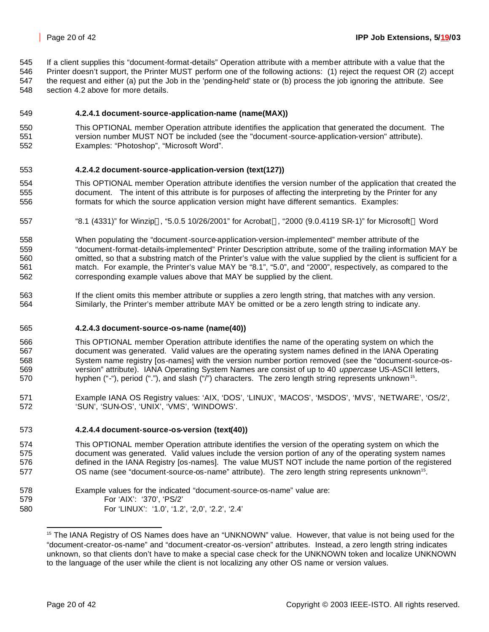If a client supplies this "document-format-details" Operation attribute with a member attribute with a value that the

- Printer doesn't support, the Printer MUST perform one of the following actions: (1) reject the request OR (2) accept the request and either (a) put the Job in the 'pending-held' state or (b) process the job ignoring the attribute. See
- section 4.2 above for more details.

## **4.2.4.1 document-source-application-name (name(MAX))**

#### This OPTIONAL member Operation attribute identifies the application that generated the document. The version number MUST NOT be included (see the "document-source-application-version" attribute). Examples: "Photoshop", "Microsoft Word".

#### **4.2.4.2 document-source-application-version (text(127))**

- This OPTIONAL member Operation attribute identifies the version number of the application that created the document. The intent of this attribute is for purposes of affecting the interpreting by the Printer for any 556 formats for which the source application version might have different semantics. Examples:
- 557 "8.1 (4331)" for Winzip®, "5.0.5 10/26/2001" for Acrobat®, "2000 (9.0.4119 SR-1)" for Microsoft® Word
- When populating the "document-source-application-version-implemented" member attribute of the "document-format-details-implemented" Printer Description attribute, some of the trailing information MAY be omitted, so that a substring match of the Printer's value with the value supplied by the client is sufficient for a match. For example, the Printer's value MAY be "8.1", "5.0", and "2000", respectively, as compared to the corresponding example values above that MAY be supplied by the client.
- If the client omits this member attribute or supplies a zero length string, that matches with any version. Similarly, the Printer's member attribute MAY be omitted or be a zero length string to indicate any.

#### **4.2.4.3 document-source-os-name (name(40))**

- This OPTIONAL member Operation attribute identifies the name of the operating system on which the document was generated. Valid values are the operating system names defined in the IANA Operating System name registry [os-names] with the version number portion removed (see the "document-source-os- version" attribute). IANA Operating System Names are consist of up to 40 *uppercase* US-ASCII letters, for thyphen ("-"), period ("."), and slash ("/") characters. The zero length string represents unknown<sup>15</sup>.
- Example IANA OS Registry values: 'AIX, 'DOS', 'LINUX', 'MACOS', 'MSDOS', 'MVS', 'NETWARE', 'OS/2', 'SUN', 'SUN-OS', 'UNIX', 'VMS', 'WINDOWS'.

#### **4.2.4.4 document-source-os-version (text(40))**

- This OPTIONAL member Operation attribute identifies the version of the operating system on which the document was generated. Valid values include the version portion of any of the operating system names defined in the IANA Registry [os-names]. The value MUST NOT include the name portion of the registered 577 **OS name (see "document-source-os-name" attribute).** The zero length string represents unknown<sup>15</sup>.
- Example values for the indicated "document-source-os-name" value are: For 'AIX': '370', 'PS/2' For 'LINUX': '1.0', '1.2', '2,0', '2.2', '2.4'

<sup>&</sup>lt;sup>15</sup> The IANA Registry of OS Names does have an "UNKNOWN" value. However, that value is not being used for the "document-creator-os-name" and "document-creator-os-version" attributes. Instead, a zero length string indicates unknown, so that clients don't have to make a special case check for the UNKNOWN token and localize UNKNOWN to the language of the user while the client is not localizing any other OS name or version values.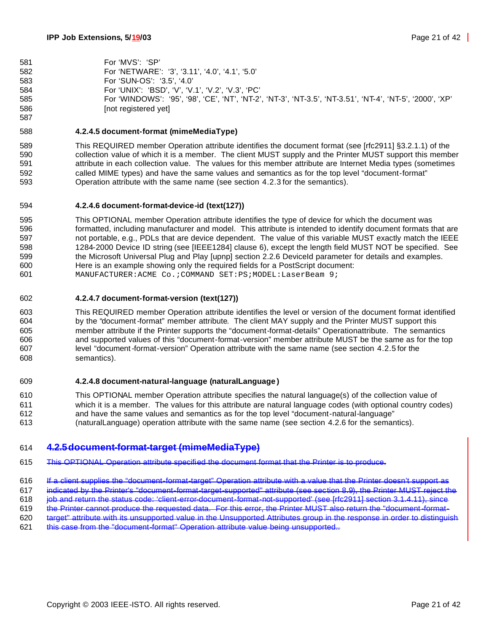| 581 | For 'MVS': 'SP'                                                                                          |
|-----|----------------------------------------------------------------------------------------------------------|
| 582 | For 'NETWARE': '3', '3.11', '4.0', '4.1', '5.0'                                                          |
| 583 | For 'SUN-OS': '3.5', '4.0'                                                                               |
| 584 | For 'UNIX': 'BSD', 'V', 'V.1', 'V.2', 'V.3', 'PC'                                                        |
| 585 | For 'WINDOWS': '95', '98', 'CE', 'NT', 'NT-2', 'NT-3', 'NT-3.5', 'NT-3.51', 'NT-4', 'NT-5', '2000', 'XP' |
| 586 | [not registered yet]                                                                                     |

#### **4.2.4.5 document-format (mimeMediaType)**

 This REQUIRED member Operation attribute identifies the document format (see [rfc2911] §3.2.1.1) of the collection value of which it is a member. The client MUST supply and the Printer MUST support this member attribute in each collection value. The values for this member attribute are Internet Media types (sometimes called MIME types) and have the same values and semantics as for the top level "document-format" Operation attribute with the same name (see section 4.2.3 for the semantics).

#### **4.2.4.6 document-format-device-id (text(127))**

 This OPTIONAL member Operation attribute identifies the type of device for which the document was formatted, including manufacturer and model. This attribute is intended to identify document formats that are not portable, e.g., PDLs that are device dependent. The value of this variable MUST exactly match the IEEE 1284-2000 Device ID string (see [IEEE1284] clause 6), except the length field MUST NOT be specified. See the Microsoft Universal Plug and Play [upnp] section 2.2.6 DeviceId parameter for details and examples. Here is an example showing only the required fields for a PostScript document: 601 MANUFACTURER:ACME Co.; COMMAND SET:PS; MODEL: LaserBeam 9;

#### **4.2.4.7 document-format-version (text(127))**

 This REQUIRED member Operation attribute identifies the level or version of the document format identified by the "document-format" member attribute. The client MAY supply and the Printer MUST support this member attribute if the Printer supports the "document-format-details" Operationattribute. The semantics and supported values of this "document-format-version" member attribute MUST be the same as for the top level "document-format-version" Operation attribute with the same name (see section 4.2.5 for the semantics).

#### **4.2.4.8 document-natural-language (naturalLanguage )**

 This OPTIONAL member Operation attribute specifies the natural language(s) of the collection value of which it is a member. The values for this attribute are natural language codes (with optional country codes) and have the same values and semantics as for the top level "document-natural-language" (naturalLanguage) operation attribute with the same name (see section 4.2.6 for the semantics).

## **4.2.5document-format-target (mimeMediaType)**

- This OPTIONAL Operation attribute specified the document format that the Printer is to produce.
- 616 If a client supplies the "document-format-target" Operation attribute with a value that the Printer doesn't sup

indicated by the Printer's "document-format-target-supported" attribute (see section 8.9), the Printer MUST reject the

- job and return the status code: 'client-error-document-format-not-supported' (see [rfc2911] section 3.1.4.11), since
- the Printer cannot produce the requested data. For this error, the Printer MUST also return the "document-format-
- target" attribute with its unsupported value in the Unsupported Attributes group in the response in order to distinguish
- this case from the "document-format" Operation attribute value being unsupported..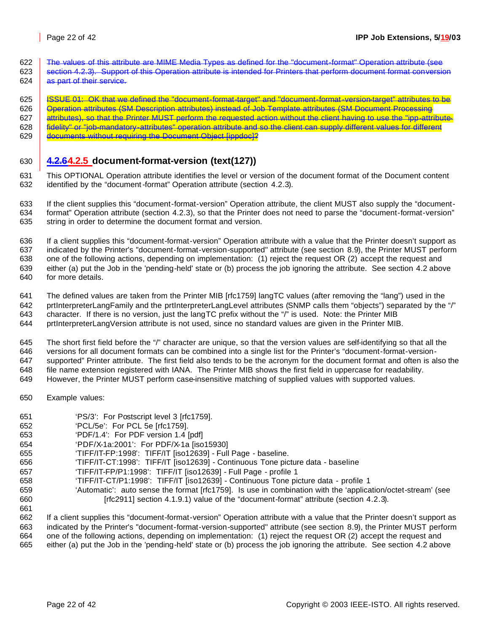- 622 The values of this attribute are MIME Media Types as defined for the "document-format" Operation attribute (see
- 623 Section 4.2.3). Support of this Operation attribute is intended for Printers that perform document format conversion as part of their service.
- 625 | ISSUE 01: OK that we defined the "document-format-target" and "document-format-version-target" attributes to be
- **Operation attributes (SM Description attributes) instead of Job Template attributes (SM Document Processing**
- 627 attributes), so that the Printer MUST perform the requested action without the client having to use the "ipp-attribute-
- **fidelity" or "job-mandatory-attributes" operation attribute and so the client can supply different values for different**
- **documents without requiring the Document Object [ippdoc]?**

## **4.2.64.2.5 document-format-version (text(127))**

 This OPTIONAL Operation attribute identifies the level or version of the document format of the Document content identified by the "document-format" Operation attribute (section 4.2.3).

 If the client supplies this "document-format-version" Operation attribute, the client MUST also supply the "document- format" Operation attribute (section 4.2.3), so that the Printer does not need to parse the "document-format-version" string in order to determine the document format and version.

 If a client supplies this "document-format-version" Operation attribute with a value that the Printer doesn't support as indicated by the Printer's "document-format-version-supported" attribute (see section 8.9), the Printer MUST perform one of the following actions, depending on implementation: (1) reject the request OR (2) accept the request and either (a) put the Job in the 'pending-held' state or (b) process the job ignoring the attribute. See section 4.2 above for more details.

 The defined values are taken from the Printer MIB [rfc1759] langTC values (after removing the "lang") used in the prtInterpreterLangFamily and the prtInterpreterLangLevel attributes (SNMP calls them "objects") separated by the "/" character. If there is no version, just the langTC prefix without the "/" is used. Note: the Printer MIB prtInterpreterLangVersion attribute is not used, since no standard values are given in the Printer MIB.

 The short first field before the "/" character are unique, so that the version values are self-identifying so that all the versions for all document formats can be combined into a single list for the Printer's "document-format-version- supported" Printer attribute. The first field also tends to be the acronym for the document format and often is also the 648 file name extension registered with IANA. The Printer MIB shows the first field in uppercase for readability.

- However, the Printer MUST perform case-insensitive matching of supplied values with supported values.
- Example values:
- 'PS/3': For Postscript level 3 [rfc1759].
- 'PCL/5e': For PCL 5e [rfc1759].
- 'PDF/1.4': For PDF version 1.4 [pdf]
- 'PDF/X-1a:2001': For PDF/X-1a [iso15930]
- 'TIFF/IT-FP:1998': TIFF/IT [iso12639] Full Page baseline.
- 'TIFF/IT-CT:1998': TIFF/IT [iso12639] Continuous Tone picture data baseline
- 'TIFF/IT-FP/P1:1998': TIFF/IT [iso12639] Full Page profile 1
- 'TIFF/IT-CT/P1:1998': TIFF/IT [iso12639] Continuous Tone picture data profile 1
- 'Automatic': auto sense the format [rfc1759]. Is use in combination with the 'application/octet-stream' (see [rfc2911] section 4.1.9.1) value of the "document-format" attribute (section 4.2.3).

 If a client supplies this "document-format-version" Operation attribute with a value that the Printer doesn't support as indicated by the Printer's "document-format-version-supported" attribute (see section 8.9), the Printer MUST perform one of the following actions, depending on implementation: (1) reject the request OR (2) accept the request and either (a) put the Job in the 'pending-held' state or (b) process the job ignoring the attribute. See section 4.2 above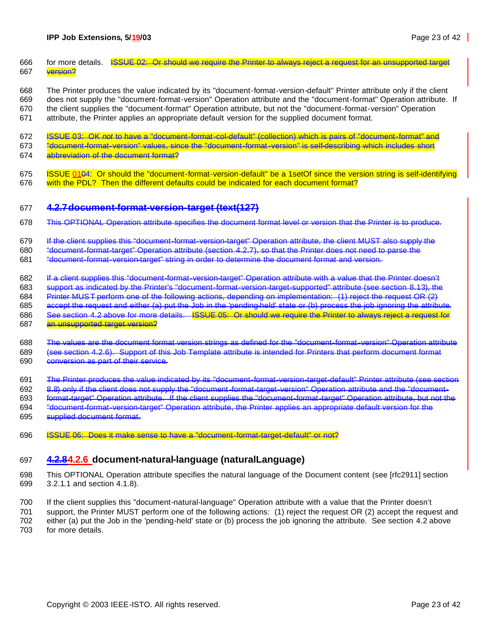- 666 for more details. ISSUE 02: Or should we require the Printer to always reject a request for an unsupported target 667 version?
- The Printer produces the value indicated by its "document-format-version-default" Printer attribute only if the client does not supply the "document-format-version" Operation attribute and the "document-format" Operation attribute. If the client supplies the "document-format" Operation attribute, but not the "document-format-version" Operation
- attribute, the Printer applies an appropriate default version for the supplied document format.
- ISSUE 03: OK *not* to have a "document-format-col-default" (collection) which is pairs of "document-format" and
- "document-format-version" values, since the "document-format-version" is self-describing which includes short
- abbreviation of the document format?
- ISSUE 0104: Or should the "document-format-version-default" be a 1setOf since the version string is self-identifying 676 with the PDL? Then the different defaults could be indicated for each document format?

#### **4.2.7document-format-version-target (text(127)**

- This OPTIONAL Operation attribute specifies the document format level or version that the Printer is to produce.
- If the client supplies this "document-format-version-target" Operation attribute, the client MUST also supply the

"document-format-target" Operation attribute (section 4.2.7), so that the Printer does not need to parse the

- "document-format-version-target" string in order to determine the document format and version.
- If a client supplies this "document-format-version-target" Operation attribute with a value that the Printer doesn't
- support as indicated by the Printer's "document-format-version-target-supported" attribute (see section 8.13), the
- Printer MUST perform one of the following actions, depending on implementation: (1) reject the request OR (2)
- accept the request and either (a) put the Job in the 'pending-held' state or (b) process the job ignoring the attribute.
- See section 4.2 above for more details. ISSUE 05: Or should we require the Printer to always reject a request for an unsupported target version?
- The values are the document format version strings as defined for the "document-format-version" Operation attribute (see section 4.2.6). Support of this Job Template attribute is intended for Printers that perform document format conversion as part of their service.
- The Printer produces the value indicated by its "document-format-version-target-default" Printer attribute (see section
- 8.8) only if the client does not supply the "document-format-target-version" Operation attribute and the "document-
- format-target" Operation attribute. If the client supplies the "document-format-target" Operation attribute, but not the
- "document-format-version-target" Operation attribute, the Printer applies an appropriate default version for the supplied document format.
- ISSUE 06: Does it make sense to have a "document-format-target-default" or not?

# **4.2.84.2.6 document-natural-language (naturalLanguage)**

- This OPTIONAL Operation attribute specifies the natural language of the Document content (see [rfc2911] section 3.2.1.1 and section 4.1.8).
- If the client supplies this "document-natural-language" Operation attribute with a value that the Printer doesn't
- support, the Printer MUST perform one of the following actions: (1) reject the request OR (2) accept the request and
- either (a) put the Job in the 'pending-held' state or (b) process the job ignoring the attribute. See section 4.2 above for more details.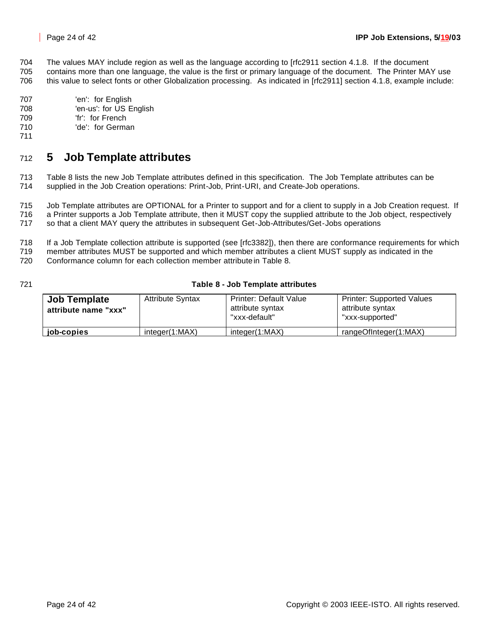704 The values MAY include region as well as the language according to [rfc2911 section 4.1.8. If the document 705 contains more than one language, the value is the first or primary language of the document. The Printer MAY use

- 706 this value to select fonts or other Globalization processing. As indicated in [rfc2911] section 4.1.8, example include:
- 707 'en': for English
- 708 'en-us': for US English
- 709 'fr': for French
- 710 'de': for German
- 711

# <sup>712</sup> **5 Job Template attributes**

713 Table 8 lists the new Job Template attributes defined in this specification. The Job Template attributes can be 714 supplied in the Job Creation operations: Print-Job, Print-URI, and Create-Job operations.

715 Job Template attributes are OPTIONAL for a Printer to support and for a client to supply in a Job Creation request. If 716 a Printer supports a Job Template attribute, then it MUST copy the supplied attribute to the Job object, respectively 717 so that a client MAY query the attributes in subsequent Get-Job-Attributes/Get-Jobs operations

718 If a Job Template collection attribute is supported (see [rfc3382]), then there are conformance requirements for which

719 member attributes MUST be supported and which member attributes a client MUST supply as indicated in the

720 Conformance column for each collection member attribute in Table 8.

## 721 **Table 8 - Job Template attributes**

| <b>Job Template</b><br>attribute name "xxx" | <b>Attribute Syntax</b> | <b>Printer: Default Value</b><br>attribute syntax<br>"xxx-default" | <b>Printer: Supported Values</b><br>attribute syntax<br>"xxx-supported" |
|---------------------------------------------|-------------------------|--------------------------------------------------------------------|-------------------------------------------------------------------------|
| job-copies                                  | integer(1:MAX)          | integer(1:MAX)                                                     | rangeOfInteger(1:MAX)                                                   |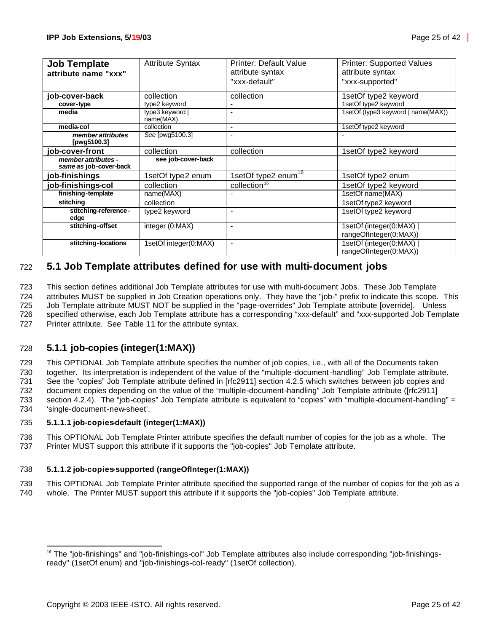| <b>Job Template</b><br>attribute name "xxx"   | <b>Attribute Syntax</b>      | <b>Printer: Default Value</b><br>attribute syntax<br>"xxx-default" | <b>Printer: Supported Values</b><br>attribute syntax<br>"xxx-supported" |
|-----------------------------------------------|------------------------------|--------------------------------------------------------------------|-------------------------------------------------------------------------|
|                                               |                              |                                                                    |                                                                         |
| job-cover-back                                | collection                   | collection                                                         | 1setOf type2 keyword                                                    |
| cover-type                                    | type2 keyword                | ٠                                                                  | 1setOf type2 keyword                                                    |
| media                                         | type3 keyword  <br>name(MAX) | ۰                                                                  | 1setOf (type3 keyword   name(MAX))                                      |
| media-col                                     | collection                   | $\blacksquare$                                                     | 1setOf type2 keyword                                                    |
| member attributes<br>[pwg5100.3]              | See [pwg5100.3]              | $\overline{a}$                                                     |                                                                         |
| job-cover-front                               | collection                   | collection                                                         | 1setOf type2 keyword                                                    |
| member attributes -<br>same as job-cover-back | see job-cover-back           |                                                                    |                                                                         |
| job-finishings                                | 1setOf type2 enum            | 1setOf type2 enum <sup>16</sup>                                    | 1setOf type2 enum                                                       |
| job-finishings-col                            | collection                   | collection <sup>16</sup>                                           | 1setOf type2 keyword                                                    |
| finishing-template                            | name(MAX)                    |                                                                    | 1setOf name(MAX)                                                        |
| stitching                                     | collection                   |                                                                    | 1setOf type2 keyword                                                    |
| stitching-reference -<br>edge                 | type2 keyword                | $\blacksquare$                                                     | 1setOf type2 keyword                                                    |
| stitching-offset                              | integer (0:MAX)              | $\overline{\phantom{0}}$                                           | 1setOf (integer(0:MAX)<br>rangeOfInteger(0:MAX))                        |
| stitching-locations                           | 1setOf integer(0:MAX)        | $\overline{a}$                                                     | 1setOf (integer(0:MAX)<br>rangeOfInteger(0:MAX))                        |

# 722 **5.1 Job Template attributes defined for use with multi-document jobs**

 This section defines additional Job Template attributes for use with multi-document Jobs. These Job Template attributes MUST be supplied in Job Creation operations only. They have the "job-" prefix to indicate this scope. This Job Template attribute MUST NOT be supplied in the "page-overrides" Job Template attribute [override]. Unless specified otherwise, each Job Template attribute has a corresponding "xxx-default" and "xxx-supported Job Template Printer attribute. See Table 11 for the attribute syntax.

## 728 **5.1.1 job-copies (integer(1:MAX))**

 This OPTIONAL Job Template attribute specifies the number of job copies, i.e., with all of the Documents taken together. Its interpretation is independent of the value of the "multiple-document-handling" Job Template attribute. See the "copies" Job Template attribute defined in [rfc2911] section 4.2.5 which switches between job copies and document copies depending on the value of the "multiple-document-handling" Job Template attribute ([rfc2911] section 4.2.4). The "job-copies" Job Template attribute is equivalent to "copies" with "multiple-document-handling" = 'single-document-new-sheet'.

#### 735 **5.1.1.1 job-copies-default (integer(1:MAX))**

736 This OPTIONAL Job Template Printer attribute specifies the default number of copies for the job as a whole. The 737 Printer MUST support this attribute if it supports the "job-copies" Job Template attribute.

## 738 **5.1.1.2 job-copies-supported (rangeOfInteger(1:MAX))**

739 This OPTIONAL Job Template Printer attribute specified the supported range of the number of copies for the job as a 740 whole. The Printer MUST support this attribute if it supports the "job-copies" Job Template attribute.

<sup>&</sup>lt;sup>16</sup> The "job-finishings" and "job-finishings-col" Job Template attributes also include corresponding "job-finishingsready" (1setOf enum) and "job-finishings-col-ready" (1setOf collection).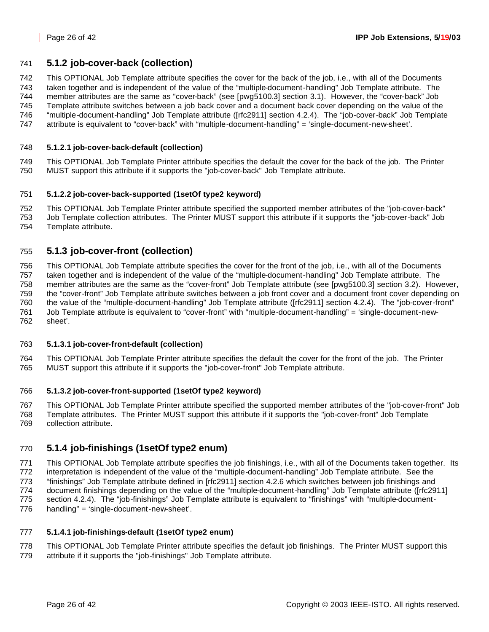## **5.1.2 job-cover-back (collection)**

This OPTIONAL Job Template attribute specifies the cover for the back of the job, i.e., with all of the Documents

 taken together and is independent of the value of the "multiple-document-handling" Job Template attribute. The member attributes are the same as "cover-back" (see [pwg5100.3] section 3.1). However, the "cover-back" Job

Template attribute switches between a job back cover and a document back cover depending on the value of the

- "multiple-document-handling" Job Template attribute ([rfc2911] section 4.2.4). The "job-cover-back" Job Template
- attribute is equivalent to "cover-back" with "multiple-document-handling" = 'single-document-new-sheet'.

#### **5.1.2.1 job-cover-back-default (collection)**

 This OPTIONAL Job Template Printer attribute specifies the default the cover for the back of the job. The Printer MUST support this attribute if it supports the "job-cover-back" Job Template attribute.

#### **5.1.2.2 job-cover-back-supported (1setOf type2 keyword)**

 This OPTIONAL Job Template Printer attribute specified the supported member attributes of the "job-cover-back" Job Template collection attributes. The Printer MUST support this attribute if it supports the "job-cover-back" Job Template attribute.

## **5.1.3 job-cover-front (collection)**

 This OPTIONAL Job Template attribute specifies the cover for the front of the job, i.e., with all of the Documents taken together and is independent of the value of the "multiple-document-handling" Job Template attribute. The member attributes are the same as the "cover-front" Job Template attribute (see [pwg5100.3] section 3.2). However, the "cover-front" Job Template attribute switches between a job front cover and a document front cover depending on the value of the "multiple-document-handling" Job Template attribute ([rfc2911] section 4.2.4). The "job-cover-front" Job Template attribute is equivalent to "cover-front" with "multiple-document-handling" = 'single-document-new-sheet'.

## **5.1.3.1 job-cover-front-default (collection)**

 This OPTIONAL Job Template Printer attribute specifies the default the cover for the front of the job. The Printer MUST support this attribute if it supports the "job-cover-front" Job Template attribute.

#### **5.1.3.2 job-cover-front-supported (1setOf type2 keyword)**

 This OPTIONAL Job Template Printer attribute specified the supported member attributes of the "job-cover-front" Job Template attributes. The Printer MUST support this attribute if it supports the "job-cover-front" Job Template collection attribute.

## **5.1.4 job-finishings (1setOf type2 enum)**

 This OPTIONAL Job Template attribute specifies the job finishings, i.e., with all of the Documents taken together. Its interpretation is independent of the value of the "multiple-document-handling" Job Template attribute. See the "finishings" Job Template attribute defined in [rfc2911] section 4.2.6 which switches between job finishings and document finishings depending on the value of the "multiple-document-handling" Job Template attribute ([rfc2911] section 4.2.4). The "job-finishings" Job Template attribute is equivalent to "finishings" with "multiple-document-handling" = 'single-document-new-sheet'.

## **5.1.4.1 job-finishings-default (1setOf type2 enum)**

 This OPTIONAL Job Template Printer attribute specifies the default job finishings. The Printer MUST support this attribute if it supports the "job-finishings" Job Template attribute.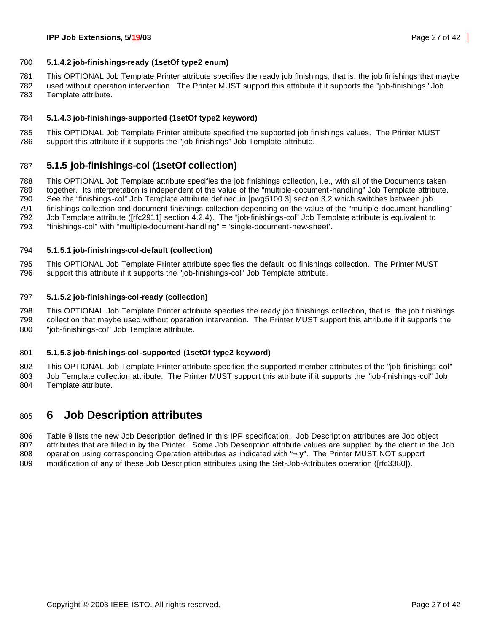#### **5.1.4.2 job-finishings-ready (1setOf type2 enum)**

This OPTIONAL Job Template Printer attribute specifies the ready job finishings, that is, the job finishings that maybe

 used without operation intervention. The Printer MUST support this attribute if it supports the "job-finishings" Job Template attribute.

#### **5.1.4.3 job-finishings-supported (1setOf type2 keyword)**

 This OPTIONAL Job Template Printer attribute specified the supported job finishings values. The Printer MUST support this attribute if it supports the "job-finishings" Job Template attribute.

## **5.1.5 job-finishings-col (1setOf collection)**

 This OPTIONAL Job Template attribute specifies the job finishings collection, i.e., with all of the Documents taken together. Its interpretation is independent of the value of the "multiple-document-handling" Job Template attribute. See the "finishings-col" Job Template attribute defined in [pwg5100.3] section 3.2 which switches between job finishings collection and document finishings collection depending on the value of the "multiple-document-handling" Job Template attribute ([rfc2911] section 4.2.4). The "job-finishings-col" Job Template attribute is equivalent to "finishings-col" with "multiple-document-handling" = 'single-document-new-sheet'.

#### **5.1.5.1 job-finishings-col-default (collection)**

 This OPTIONAL Job Template Printer attribute specifies the default job finishings collection. The Printer MUST support this attribute if it supports the "job-finishings-col" Job Template attribute.

#### **5.1.5.2 job-finishings-col-ready (collection)**

 This OPTIONAL Job Template Printer attribute specifies the ready job finishings collection, that is, the job finishings collection that maybe used without operation intervention. The Printer MUST support this attribute if it supports the "job-finishings-col" Job Template attribute.

#### **5.1.5.3 job-finishings-col-supported (1setOf type2 keyword)**

 This OPTIONAL Job Template Printer attribute specified the supported member attributes of the "job-finishings-col" Job Template collection attribute. The Printer MUST support this attribute if it supports the "job-finishings-col" Job Template attribute.

# **6 Job Description attributes**

 Table 9 lists the new Job Description defined in this IPP specification. Job Description attributes are Job object attributes that are filled in by the Printer. Some Job Description attribute values are supplied by the client in the Job operation using corresponding Operation attributes as indicated with "**Þy**". The Printer MUST NOT support modification of any of these Job Description attributes using the Set-Job-Attributes operation ([rfc3380]).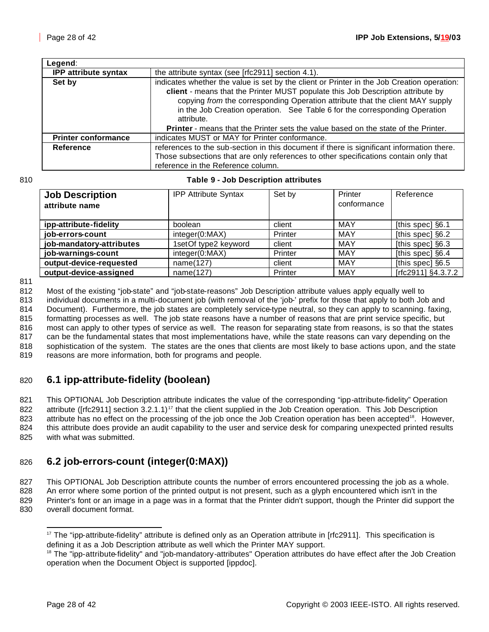| Legend:                     |                                                                                                                                                                                                                                                                                                                                                            |
|-----------------------------|------------------------------------------------------------------------------------------------------------------------------------------------------------------------------------------------------------------------------------------------------------------------------------------------------------------------------------------------------------|
| <b>IPP attribute syntax</b> | the attribute syntax (see [rfc2911] section 4.1).                                                                                                                                                                                                                                                                                                          |
| Set by                      | indicates whether the value is set by the client or Printer in the Job Creation operation:<br>client - means that the Printer MUST populate this Job Description attribute by<br>copying from the corresponding Operation attribute that the client MAY supply<br>in the Job Creation operation. See Table 6 for the corresponding Operation<br>attribute. |
|                             | <b>Printer</b> - means that the Printer sets the value based on the state of the Printer.                                                                                                                                                                                                                                                                  |
| <b>Printer conformance</b>  | indicates MUST or MAY for Printer conformance.                                                                                                                                                                                                                                                                                                             |
| Reference                   | references to the sub-section in this document if there is significant information there.<br>Those subsections that are only references to other specifications contain only that<br>reference in the Reference column.                                                                                                                                    |

#### 810 **Table 9 - Job Description attributes**

| <b>Job Description</b><br>attribute name | <b>IPP Attribute Syntax</b> | Set by  | Printer<br>conformance | Reference          |
|------------------------------------------|-----------------------------|---------|------------------------|--------------------|
| ipp-attribute-fidelity                   | boolean                     | client  | <b>MAY</b>             | [this spec] §6.1   |
| job-errors-count                         | integer(0:MAX)              | Printer | <b>MAY</b>             | [this spec] §6.2   |
| job-mandatory-attributes                 | 1setOf type2 keyword        | client  | <b>MAY</b>             | [this spec] §6.3   |
| job-warnings-count                       | integer(0:MAX)              | Printer | <b>MAY</b>             | [this spec] §6.4   |
| output-device-requested                  | name(127)                   | client  | <b>MAY</b>             | [this spec] §6.5   |
| output-device-assigned                   | name(127)                   | Printer | MAY                    | [rfc2911] §4.3.7.2 |

811

812 Most of the existing "job-state" and "job-state-reasons" Job Description attribute values apply equally well to<br>813 individual documents in a multi-document job (with removal of the 'job-' prefix for those that apply t

individual documents in a multi-document job (with removal of the 'job-' prefix for those that apply to both Job and

 Document). Furthermore, the job states are completely service-type neutral, so they can apply to scanning. faxing, formatting processes as well. The job state reasons have a number of reasons that are print service specific, but most can apply to other types of service as well. The reason for separating state from reasons, is so that the states can be the fundamental states that most implementations have, while the state reasons can vary depending on the

818 sophistication of the system. The states are the ones that clients are most likely to base actions upon, and the state

819 reasons are more information, both for programs and people.

# 820 **6.1 ipp-attribute-fidelity (boolean)**

821 This OPTIONAL Job Description attribute indicates the value of the corresponding "ipp-attribute-fidelity" Operation 822 attribute ( $[rfc2911]$  section 3.2.1.1)<sup>17</sup> that the client supplied in the Job Creation operation. This Job Description 823 attribute has no effect on the processing of the job once the Job Creation operation has been accepted<sup>18</sup>. However, 824 this attribute does provide an audit capability to the user and service desk for comparing unexpected printed results 825 with what was submitted.

# 826 **6.2 job-errors-count (integer(0:MAX))**

827 This OPTIONAL Job Description attribute counts the number of errors encountered processing the job as a whole.

828 An error where some portion of the printed output is not present, such as a glyph encountered which isn't in the 829 Printer's font or an image in a page was in a format that the Printer didn't support, though the Printer did support the

830 overall document format.

  $17$  The "ipp-attribute-fidelity" attribute is defined only as an Operation attribute in [rfc2911]. This specification is defining it as a Job Description attribute as well which the Printer MAY support.

<sup>&</sup>lt;sup>18</sup> The "ipp-attribute-fidelity" and "job-mandatory-attributes" Operation attributes do have effect after the Job Creation operation when the Document Object is supported [ippdoc].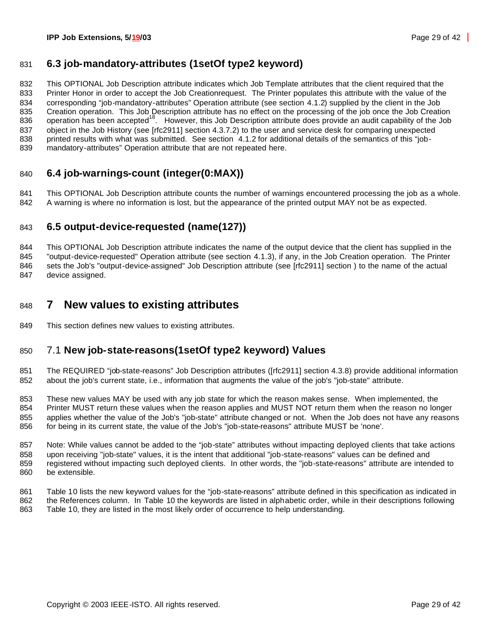# **6.3 job-mandatory-attributes (1setOf type2 keyword)**

 This OPTIONAL Job Description attribute indicates which Job Template attributes that the client required that the Printer Honor in order to accept the Job Creationrequest. The Printer populates this attribute with the value of the corresponding "job-mandatory-attributes" Operation attribute (see section 4.1.2) supplied by the client in the Job Creation operation. This Job Description attribute has no effect on the processing of the job once the Job Creation 836 operation has been accepted<sup>18</sup>. However, this Job Description attribute does provide an audit capability of the Job object in the Job History (see [rfc2911] section 4.3.7.2) to the user and service desk for comparing unexpected printed results with what was submitted. See section 4.1.2 for additional details of the semantics of this "job-mandatory-attributes" Operation attribute that are not repeated here.

# **6.4 job-warnings-count (integer(0:MAX))**

 This OPTIONAL Job Description attribute counts the number of warnings encountered processing the job as a whole. A warning is where no information is lost, but the appearance of the printed output MAY not be as expected.

# **6.5 output-device-requested (name(127))**

844 This OPTIONAL Job Description attribute indicates the name of the output device that the client has supplied in the "output-device-requested" Operation attribute (see section 4.1.3), if any, in the Job Creation operation. The Printer sets the Job's "output-device-assigned" Job Description attribute (see [rfc2911] section ) to the name of the actual device assigned.

# **7 New values to existing attributes**

This section defines new values to existing attributes.

# 7.1 **New job-state-reasons(1setOf type2 keyword) Values**

 The REQUIRED "job-state-reasons" Job Description attributes ([rfc2911] section 4.3.8) provide additional information about the job's current state, i.e., information that augments the value of the job's "job-state" attribute.

 These new values MAY be used with any job state for which the reason makes sense. When implemented, the Printer MUST return these values when the reason applies and MUST NOT return them when the reason no longer applies whether the value of the Job's "job-state" attribute changed or not. When the Job does not have any reasons for being in its current state, the value of the Job's "job-state-reasons" attribute MUST be 'none'.

 Note: While values cannot be added to the "job-state" attributes without impacting deployed clients that take actions upon receiving "job-state" values, it is the intent that additional "job-state-reasons" values can be defined and registered without impacting such deployed clients. In other words, the "job-state-reasons" attribute are intended to be extensible.

 Table 10 lists the new keyword values for the "job-state-reasons" attribute defined in this specification as indicated in the References column. In Table 10 the keywords are listed in alphabetic order, while in their descriptions following Table 10, they are listed in the most likely order of occurrence to help understanding.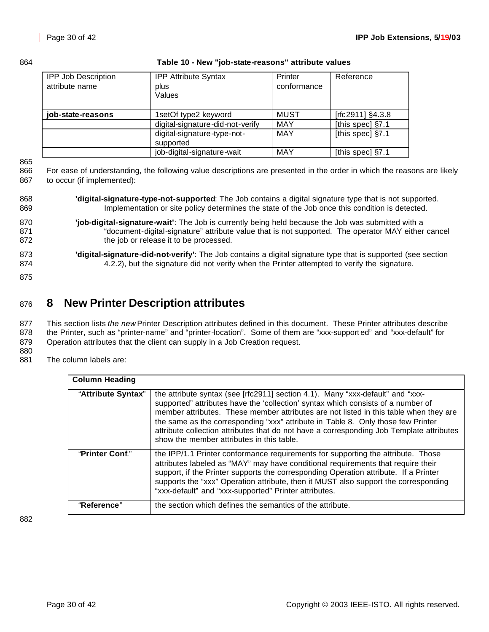864 **Table 10 - New "job-state-reasons" attribute values**

| <b>IPP Job Description</b> | <b>IPP Attribute Syntax</b>      | Printer     | Reference            |
|----------------------------|----------------------------------|-------------|----------------------|
| attribute name             | plus                             | conformance |                      |
|                            | Values                           |             |                      |
|                            |                                  |             |                      |
| job-state-reasons          | 1setOf type2 keyword             | MUST        | [ $rfc2911$ ] §4.3.8 |
|                            | digital-signature-did-not-verify | <b>MAY</b>  | [this spec] §7.1     |
|                            | digital-signature-type-not-      | <b>MAY</b>  | [this spec] §7.1     |
|                            | supported                        |             |                      |
|                            | job-digital-signature-wait       | <b>MAY</b>  | [this spec] $\S7.1$  |

865

866 For ease of understanding, the following value descriptions are presented in the order in which the reasons are likely 867 to occur (if implemented):

- 868 **'digital-signature-type-not-supported**: The Job contains a digital signature type that is not supported. 869 Implementation or site policy determines the state of the Job once this condition is detected.
- 870 **'job-digital-signature-wait'**: The Job is currently being held because the Job was submitted with a 871 "document-digital-signature" attribute value that is not supported. The operator MAY either cancel 872 the job or release it to be processed.
- 873 **'digital-signature-did-not-verify'**: The Job contains a digital signature type that is supported (see section 874 4.2.2), but the signature did not verify when the Printer attempted to verify the signature.
- 875

# <sup>876</sup> **8 New Printer Description attributes**

877 This section lists *the new* Printer Description attributes defined in this document. These Printer attributes describe 878 the Printer, such as "printer-name" and "printer-location". Some of them are "xxx-support ed" and "xxx-default" for 879 Operation attributes that the client can supply in a Job Creation request.

880

881 The column labels are:

| <b>Column Heading</b>                                                                                                                                                                                                                                                                                                                                                                                                                                                                                          |                                                                                                                                                                                                                                                                                                                                                                                                              |
|----------------------------------------------------------------------------------------------------------------------------------------------------------------------------------------------------------------------------------------------------------------------------------------------------------------------------------------------------------------------------------------------------------------------------------------------------------------------------------------------------------------|--------------------------------------------------------------------------------------------------------------------------------------------------------------------------------------------------------------------------------------------------------------------------------------------------------------------------------------------------------------------------------------------------------------|
| "Attribute Syntax"<br>the attribute syntax (see [rfc2911] section 4.1). Many "xxx-default" and "xxx-<br>supported" attributes have the 'collection' syntax which consists of a number of<br>member attributes. These member attributes are not listed in this table when they are<br>the same as the corresponding "xxx" attribute in Table 8. Only those few Printer<br>attribute collection attributes that do not have a corresponding Job Template attributes<br>show the member attributes in this table. |                                                                                                                                                                                                                                                                                                                                                                                                              |
| "Printer Conf."                                                                                                                                                                                                                                                                                                                                                                                                                                                                                                | the IPP/1.1 Printer conformance requirements for supporting the attribute. Those<br>attributes labeled as "MAY" may have conditional requirements that require their<br>support, if the Printer supports the corresponding Operation attribute. If a Printer<br>supports the "xxx" Operation attribute, then it MUST also support the corresponding<br>"xxx-default" and "xxx-supported" Printer attributes. |
| "Reference"                                                                                                                                                                                                                                                                                                                                                                                                                                                                                                    | the section which defines the semantics of the attribute.                                                                                                                                                                                                                                                                                                                                                    |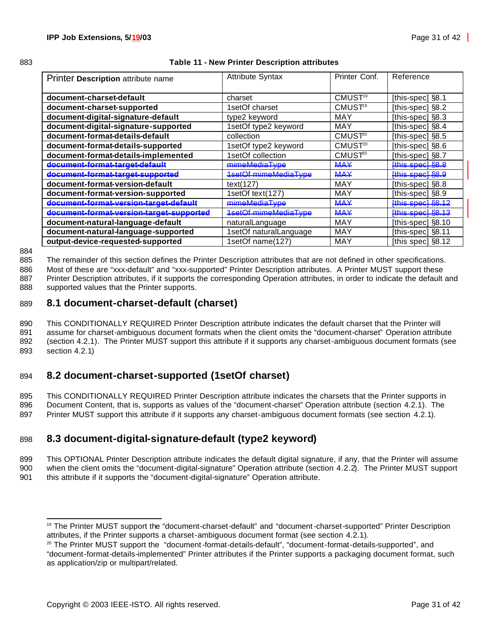| 883 | Table 11 - New Printer Description attributes |
|-----|-----------------------------------------------|
|     |                                               |

| Printer Description attribute name       | <b>Attribute Syntax</b>     | Printer Conf.       | Reference             |
|------------------------------------------|-----------------------------|---------------------|-----------------------|
|                                          |                             |                     |                       |
| document-charset-default                 | charset                     | CMUST <sup>19</sup> | [this-spec] $\S$ 8.1  |
| document-charset-supported               | 1setOf charset              | CMUST <sup>9</sup>  | [this-spec] §8.2      |
| document-digital-signature-default       | type2 keyword               | MAY                 | [this-spec] §8.3      |
| document-digital-signature-supported     | 1setOf type2 keyword        | MAY                 | [this-spec] §8.4      |
| document-format-details-default          | collection                  | CMUST <sup>20</sup> | [this-spec] §8.5      |
| document-format-details-supported        | 1setOf type2 keyword        | CMUST <sup>20</sup> | [this-spec] §8.6      |
| document-format-details-implemented      | 1setOf collection           | CMUST <sup>20</sup> | [this-spec] §8.7      |
| document-format-target-default           | mimeMediaType               | <b>MAY</b>          | [this spec] §8.8      |
| document-format-target-supported         | <b>1setOf mimeMediaType</b> | <b>MAY</b>          | [this spec] §8.9      |
| document-format-version-default          | text $(127)$                | MAY                 | [this-spec] §8.8      |
| document-format-version-supported        | 1setOf text(127)            | MAY                 | [this-spec] §8.9      |
| document-format-version-target-default   | mimeMediaType               | <b>MAY</b>          | [this spec] §8.12     |
| document-format-version-target-supported | <b>1setOf mimeMediaType</b> | <b>MAY</b>          | [this spec] §8.13     |
| document-natural-language-default        | naturalLanguage             | MAY                 | [this-spec] $\S 8.10$ |
| document-natural-language-supported      | 1setOf naturalLanguage      | MAY                 | [this-spec] §8.11     |
| output-device-requested-supported        | 1setOf name(127)            | MAY                 | [this spec] §8.12     |

884

885 The remainder of this section defines the Printer Description attributes that are not defined in other specifications.

886 Most of these are "xxx-default" and "xxx-supported" Printer Description attributes. A Printer MUST support these

887 Printer Description attributes, if it supports the corresponding Operation attributes, in order to indicate the default and 888 supported values that the Printer supports.

## 889 **8.1 document-charset-default (charset)**

 This CONDITIONALLY REQUIRED Printer Description attribute indicates the default charset that the Printer will assume for charset-ambiguous document formats when the client omits the "document-charset" Operation attribute (section 4.2.1). The Printer MUST support this attribute if it supports any charset-ambiguous document formats (see section 4.2.1)

# 894 **8.2 document-charset-supported (1setOf charset)**

895 This CONDITIONALLY REQUIRED Printer Description attribute indicates the charsets that the Printer supports in 896 Document Content, that is, supports as values of the "document-charset" Operation attribute (section 4.2.1). The 897 Printer MUST support this attribute if it supports any charset-ambiguous document formats (see section 4.2.1).

# 898 **8.3 document-digital-signature-default (type2 keyword)**

899 This OPTIONAL Printer Description attribute indicates the default digital signature, if any, that the Printer will assume 900 when the client omits the "document-digital-signature" Operation attribute (section 4.2.2). The Printer MUST support 901 this attribute if it supports the "document-digital-signature" Operation attribute.

 <sup>19</sup> The Printer MUST support the "document-charset-default" and "document-charset-supported" Printer Description attributes, if the Printer supports a charset-ambiguous document format (see section 4.2.1).

<sup>&</sup>lt;sup>20</sup> The Printer MUST support the "document-format-details-default", "document-format-details-supported", and "document-format-details-implemented" Printer attributes if the Printer supports a packaging document format, such as application/zip or multipart/related.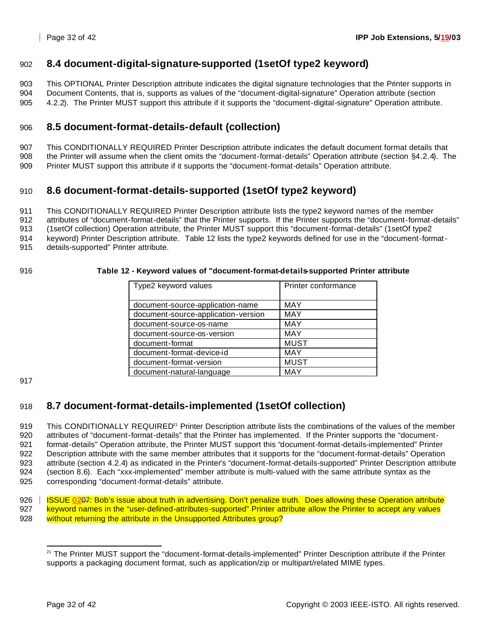# 902 **8.4 document-digital-signature-supported (1setOf type2 keyword)**

903 This OPTIONAL Printer Description attribute indicates the digital signature technologies that the Printer supports in 904 Document Contents, that is, supports as values of the "document-digital-signature" Operation attribute (section 905 4.2.2). The Printer MUST support this attribute if it supports the "document-digital-signature" Operation attribute.

# 906 **8.5 document-format-details-default (collection)**

907 This CONDITIONALLY REQUIRED Printer Description attribute indicates the default document format details that 908 the Printer will assume when the client omits the "document-format-details" Operation attribute (section §4.2.4). The 909 Printer MUST support this attribute if it supports the "document-format-details" Operation attribute.

# 910 **8.6 document-format-details-supported (1setOf type2 keyword)**

911 This CONDITIONALLY REQUIRED Printer Description attribute lists the type2 keyword names of the member

912 attributes of "document-format-details" that the Printer supports. If the Printer supports the "document-format-details"

913 (1setOf collection) Operation attribute, the Printer MUST support this "document-format-details" (1setOf type2

914 keyword) Printer Description attribute. Table 12 lists the type2 keywords defined for use in the "document-format-

915 details-supported" Printer attribute.

#### 916 **Table 12 - Keyword values of "document-format-details-supported Printer attribute**

| Type2 keyword values                | Printer conformance |
|-------------------------------------|---------------------|
|                                     |                     |
| document-source-application-name    | MAY                 |
| document-source-application-version | <b>MAY</b>          |
| document-source-os-name             | <b>MAY</b>          |
| document-source-os-version          | <b>MAY</b>          |
| document-format                     | <b>MUST</b>         |
| document-format-device-id           | <b>MAY</b>          |
| document-format-version             | <b>MUST</b>         |
| document-natural-language           | MAY                 |

917

# 918 **8.7 document-format-details-implemented (1setOf collection)**

919 This CONDITIONALLY REQUIRED<sup>21</sup> Printer Description attribute lists the combinations of the values of the member attributes of "document-format-details" that the Printer has implemented. If the Printer supports the "document-921 format-details" Operation attribute, the Printer MUST support this "document-format-details-implemented" Printer Description attribute with the same member attributes that it supports for the "document-format-details" Operation attribute (section 4.2.4) as indicated in the Printer's "document-format-details-supported" Printer Description attribute (section 8.6). Each "xxx-implemented" member attribute is multi-valued with the same attribute syntax as the corresponding "document-format-details" attribute.

926 | ISSUE 0207: Bob's issue about truth in advertising. Don't penalize truth. Does allowing these Operation attribute 927 keyword names in the "user-defined-attributes-supported" Printer attribute allow the Printer to accept any values 928 without returning the attribute in the Unsupported Attributes group?

 <sup>21</sup> The Printer MUST support the "document-format-details-implemented" Printer Description attribute if the Printer supports a packaging document format, such as application/zip or multipart/related MIME types.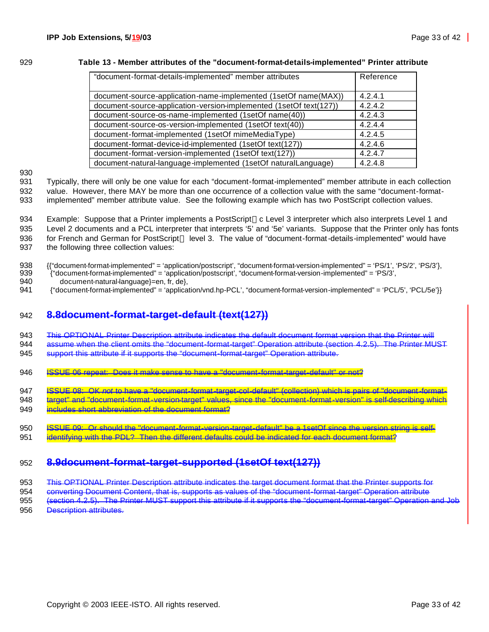#### 929 **Table 13 - Member attributes of the "document-format-details-implemented" Printer attribute**

| "document-format-details-implemented" member attributes            | Reference |
|--------------------------------------------------------------------|-----------|
|                                                                    |           |
| document-source-application-name-implemented (1setOf name(MAX))    | 4.2.4.1   |
| document-source-application-version-implemented (1setOf text(127)) | 4.2.4.2   |
| document-source-os-name-implemented (1setOf name(40))              | 4.2.4.3   |
| document-source-os-version-implemented (1setOf text(40))           | 4.2.4.4   |
| document-format-implemented (1setOf mimeMediaType)                 | 4.2.4.5   |
| document-format-device-id-implemented (1setOf text(127))           | 4.2.4.6   |
| document-format-version-implemented (1setOf text(127))             | 4.2.4.7   |
| document-natural-language-implemented (1setOf naturalLanguage)     | 4.2.4.8   |

930

931 Typically, there will only be one value for each "document-format-implemented" member attribute in each collection 932 value. However, there MAY be more than one occurrence of a collection value with the same "document-format-

933 implemented" member attribute value. See the following example which has two PostScript collection values.

934 Example: Suppose that a Printer implements a PostScript™c Level 3 interpreter which also interprets Level 1 and 935 Level 2 documents and a PCL interpreter that interprets '5' and '5e' variants. Suppose that the Printer only has fonts 936 for French and German for PostScript<sup>TM</sup> level 3. The value of "document-format-details-implemented" would have 937 the following three collection values:

938 {{"document-format-implemented" = 'application/postscript', "document-format-version-implemented" = 'PS/1', 'PS/2', 'PS/3'},

939 {"document-format-implemented" = 'application/postscript', "document-format-version-implemented" = 'PS/3',

- 940 document-natural-language}=en, fr, de},<br>941 f"document-format-implemented" = 'applica
- 941 {"document-format-implemented" = 'application/vnd.hp-PCL', "document-format-version-implemented" = 'PCL/5', 'PCL/5e'}}

## 942 **8.8document-format-target-default (text(127))**

943 This OPTIONAL Printer Description attribute indicates the default document format version that the Printer will 944 assume when the client omits the "document-format-target" Operation attribute (section 4.2.5). The Printer MUST

945 support this attribute if it supports the "document-format-target" Operation attribute.

- 946 **ISSUE 06 repeat: Does it make sense to have a "document-format-target-default" or not?**
- 947 ISSUE 08: OK *not* to have a "document-format-target-col-default" (collection) which is pairs of "document-format-

948 target" and "document-format-version-target" values, since the "document-format-version" is self-describing which 949 **includes short abbreviation of the document format?** 

950 **ISSUE 09: Or should the "document-format-version-target-default"** be a 1setOf since the version string is self-951 identifying with the PDL? Then the different defaults could be indicated for each document format?

# 952 **8.9document-format-target-supported (1setOf text(127))**

953 This OPTIONAL Printer Description attribute indicates the target document format that the Printer supports for

954 converting Document Content, that is, supports as values of the "document-format-target" Operation attribute

955 (section 4.2.5). The Printer MUST support this attribute if it supports the "document-format-target" Operation and Job

956 Description attributes.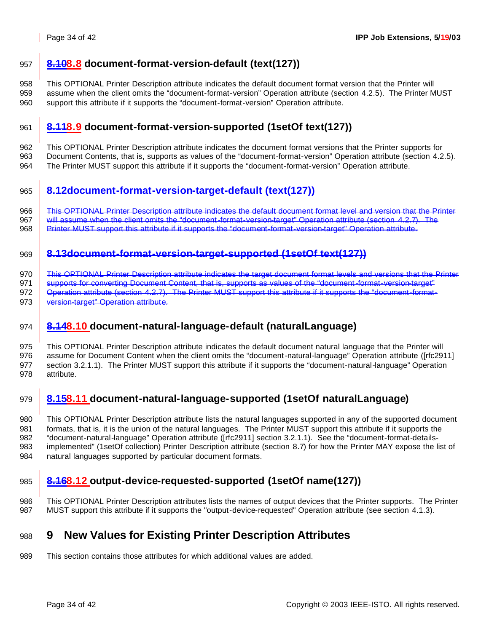# **8.108.8 document-format-version-default (text(127))**

 This OPTIONAL Printer Description attribute indicates the default document format version that the Printer will assume when the client omits the "document-format-version" Operation attribute (section 4.2.5). The Printer MUST support this attribute if it supports the "document-format-version" Operation attribute.

# **8.118.9 document-format-version-supported (1setOf text(127))**

 This OPTIONAL Printer Description attribute indicates the document format versions that the Printer supports for Document Contents, that is, supports as values of the "document-format-version" Operation attribute (section 4.2.5). The Printer MUST support this attribute if it supports the "document-format-version" Operation attribute.

# **8.12document-format-version-target-default (text(127))**

966 This OPTIONAL Printer Description attribute indicates the default document format level and version that the Printer 967 will assume when the client omits the "document-format-version-target" Operation attribute (section 4.2.7). The 968 Printer MUST support this attribute if it supports the "document-format-version-target" Operation attribute.

# **8.13document-format-version-target-supported (1setOf text(127))**

970 This OPTIONAL Printer Description attribute indicates the target document format levels and versions that the Printer

971 supports for converting Document Content, that is, supports as values of the "document-format-version-target" 972 | Operation attribute (section 4.2.7). The Printer MUST support this attribute if it supports the "document-format-

973 version-target" Operation attribute.

# **8.148.10 document-natural-language-default (naturalLanguage)**

 This OPTIONAL Printer Description attribute indicates the default document natural language that the Printer will assume for Document Content when the client omits the "document-natural-language" Operation attribute ([rfc2911] section 3.2.1.1). The Printer MUST support this attribute if it supports the "document-natural-language" Operation attribute.

# **8.158.11 document-natural-language-supported (1setOf naturalLanguage)**

 This OPTIONAL Printer Description attribute lists the natural languages supported in any of the supported document formats, that is, it is the union of the natural languages. The Printer MUST support this attribute if it supports the "document-natural-language" Operation attribute ([rfc2911] section 3.2.1.1). See the "document-format-details- implemented" (1setOf collection) Printer Description attribute (section 8.7) for how the Printer MAY expose the list of natural languages supported by particular document formats.

# **8.168.12 output-device-requested-supported (1setOf name(127))**

 This OPTIONAL Printer Description attributes lists the names of output devices that the Printer supports. The Printer MUST support this attribute if it supports the "output-device-requested" Operation attribute (see section 4.1.3).

# **9 New Values for Existing Printer Description Attributes**

This section contains those attributes for which additional values are added.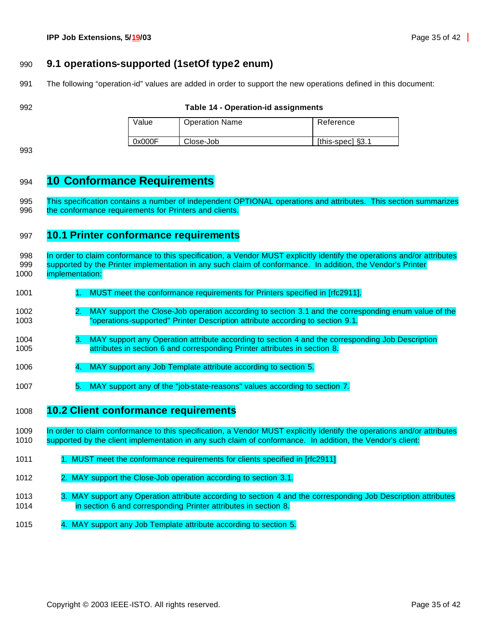## **9.1 operations-supported (1setOf type2 enum)**

The following "operation-id" values are added in order to support the new operations defined in this document:

#### **Table 14 - Operation-id assignments**

| Value  | <b>Operation Name</b> | Reference        |
|--------|-----------------------|------------------|
| 0x000F | Close-Job             | [this-spec] §3.1 |

# **10 Conformance Requirements**

 This specification contains a number of independent OPTIONAL operations and attributes. This section summarizes 996 the conformance requirements for Printers and clients.

## **10.1 Printer conformance requirements**

998 In order to claim conformance to this specification, a Vendor MUST explicitly identify the operations and/or attributes 999 supported by the Printer implementation in any such claim of conformance. In addition, the Vendor's Printer implementation:

- 1001 1. MUST meet the conformance requirements for Printers specified in [rfc2911].
- 2. MAY support the Close-Job operation according to section 3.1 and the corresponding enum value of the "operations-supported" Printer Description attribute according to section 9.1.
- 3. MAY support any Operation attribute according to section 4 and the corresponding Job Description attributes in section 6 and corresponding Printer attributes in section 8.
- 4. MAY support any Job Template attribute according to section 5.
- 5. MAY support any of the "job-state-reasons" values according to section 7.
- **10.2 Client conformance requirements**
- In order to claim conformance to this specification, a Vendor MUST explicitly identify the operations and/or attributes supported by the client implementation in any such claim of conformance. In addition, the Vendor's client:
- 1. MUST meet the conformance requirements for clients specified in [rfc2911]
- 2. MAY support the Close-Job operation according to section 3.1.
- 1013 3. MAY support any Operation attribute according to section 4 and the corresponding Job Description attributes in section 6 and corresponding Printer attributes in section 8.
- 4. MAY support any Job Template attribute according to section 5.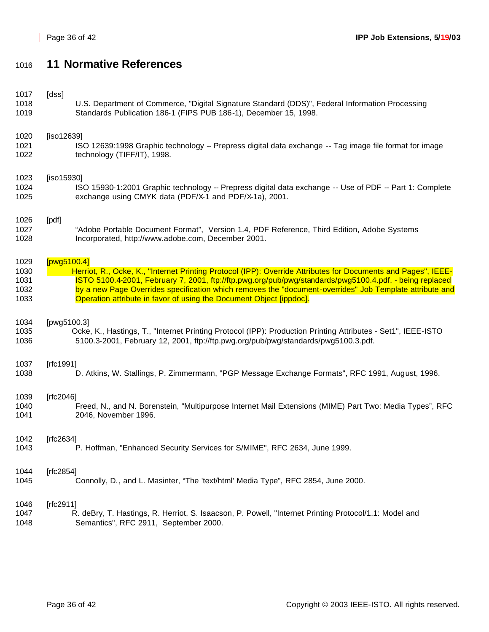# **11 Normative References**

| 1017 | [dss]                                                                                                         |
|------|---------------------------------------------------------------------------------------------------------------|
| 1018 | U.S. Department of Commerce, "Digital Signature Standard (DDS)", Federal Information Processing               |
| 1019 | Standards Publication 186-1 (FIPS PUB 186-1), December 15, 1998.                                              |
| 1020 | [iso12639]                                                                                                    |
| 1021 | ISO 12639:1998 Graphic technology -- Prepress digital data exchange -- Tag image file format for image        |
| 1022 | technology (TIFF/IT), 1998.                                                                                   |
| 1023 | [iso15930]                                                                                                    |
| 1024 | ISO 15930-1:2001 Graphic technology -- Prepress digital data exchange -- Use of PDF -- Part 1: Complete       |
| 1025 | exchange using CMYK data (PDF/X-1 and PDF/X-1a), 2001.                                                        |
| 1026 | [pdf]                                                                                                         |
| 1027 | "Adobe Portable Document Format", Version 1.4, PDF Reference, Third Edition, Adobe Systems                    |
| 1028 | Incorporated, http://www.adobe.com, December 2001.                                                            |
| 1029 | [ $pvg5100.4$ ]                                                                                               |
| 1030 | Herriot, R., Ocke, K., "Internet Printing Protocol (IPP): Override Attributes for Documents and Pages", IEEE- |
| 1031 | ISTO 5100.4-2001, February 7, 2001, ftp://ftp.pwg.org/pub/pwg/standards/pwg5100.4.pdf. - being replaced       |
| 1032 | by a new Page Overrides specification which removes the "document-overrides" Job Template attribute and       |
| 1033 | Operation attribute in favor of using the Document Object [ippdoc].                                           |
| 1034 | [pwg5100.3]                                                                                                   |
| 1035 | Ocke, K., Hastings, T., "Internet Printing Protocol (IPP): Production Printing Attributes - Set1", IEEE-ISTO  |
| 1036 | 5100.3-2001, February 12, 2001, ftp://ftp.pwg.org/pub/pwg/standards/pwg5100.3.pdf.                            |
| 1037 | [ $rfc1991$ ]                                                                                                 |
| 1038 | D. Atkins, W. Stallings, P. Zimmermann, "PGP Message Exchange Formats", RFC 1991, August, 1996.               |
| 1039 | [rfc2046]                                                                                                     |
| 1040 | Freed, N., and N. Borenstein, "Multipurpose Internet Mail Extensions (MIME) Part Two: Media Types", RFC       |
| 1041 | 2046, November 1996.                                                                                          |
| 1042 | [rfc2634]                                                                                                     |
| 1043 | P. Hoffman, "Enhanced Security Services for S/MIME", RFC 2634, June 1999.                                     |
| 1044 | [rfc2854]                                                                                                     |
| 1045 | Connolly, D., and L. Masinter, "The 'text/html' Media Type", RFC 2854, June 2000.                             |
| 1046 | [ $rfc2911$ ]                                                                                                 |
| 1047 | R. deBry, T. Hastings, R. Herriot, S. Isaacson, P. Powell, "Internet Printing Protocol/1.1: Model and         |
| 1048 | Semantics", RFC 2911, September 2000.                                                                         |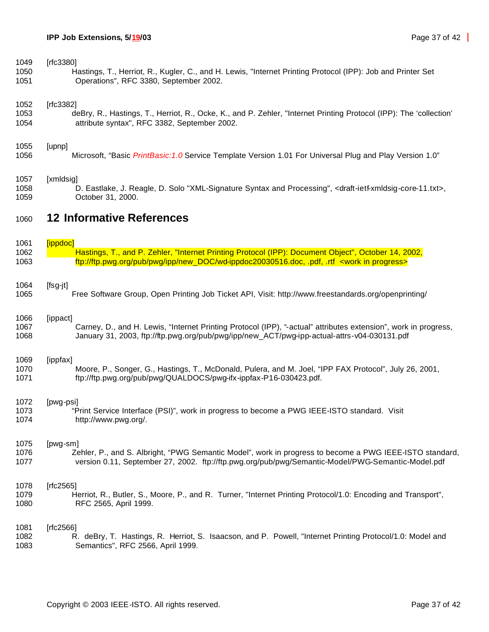| 1049 | [ $rfc3380$ ]                                                                                                                             |
|------|-------------------------------------------------------------------------------------------------------------------------------------------|
| 1050 | Hastings, T., Herriot, R., Kugler, C., and H. Lewis, "Internet Printing Protocol (IPP): Job and Printer Set                               |
| 1051 | Operations", RFC 3380, September 2002.                                                                                                    |
| 1052 | [ $rfc3382$ ]                                                                                                                             |
| 1053 | deBry, R., Hastings, T., Herriot, R., Ocke, K., and P. Zehler, "Internet Printing Protocol (IPP): The 'collection'                        |
| 1054 | attribute syntax", RFC 3382, September 2002.                                                                                              |
| 1055 | [upnp]                                                                                                                                    |
| 1056 | Microsoft, "Basic PrintBasic: 1.0 Service Template Version 1.01 For Universal Plug and Play Version 1.0"                                  |
| 1057 | [xmldsig]                                                                                                                                 |
| 1058 | D. Eastlake, J. Reagle, D. Solo "XML-Signature Syntax and Processing", <draft-ietf-xmldsig-core-11.txt>,</draft-ietf-xmldsig-core-11.txt> |
| 1059 | October 31, 2000.                                                                                                                         |
| 1060 | <b>12 Informative References</b>                                                                                                          |
| 1061 | [ippdoc]                                                                                                                                  |
| 1062 | Hastings, T., and P. Zehler, "Internet Printing Protocol (IPP): Document Object", October 14, 2002,                                       |
| 1063 | ftp://ftp.pwg.org/pub/pwg/ipp/new_DOC/wd-ippdoc20030516.doc, .pdf, .rtf <work in="" progress=""></work>                                   |
| 1064 | $[fsg-jt]$                                                                                                                                |
| 1065 | Free Software Group, Open Printing Job Ticket API, Visit: http://www.freestandards.org/openprinting/                                      |
| 1066 | [ippact]                                                                                                                                  |
| 1067 | Carney, D., and H. Lewis, "Internet Printing Protocol (IPP), "-actual" attributes extension", work in progress,                           |
| 1068 | January 31, 2003, ftp://ftp.pwg.org/pub/pwg/ipp/new_ACT/pwg-ipp-actual-attrs-v04-030131.pdf                                               |
| 1069 | [ippfax]                                                                                                                                  |
| 1070 | Moore, P., Songer, G., Hastings, T., McDonald, Pulera, and M. Joel, "IPP FAX Protocol", July 26, 2001,                                    |
| 1071 | ftp://ftp.pwg.org/pub/pwg/QUALDOCS/pwg-ifx-ippfax-P16-030423.pdf.                                                                         |
| 1072 | [pwg-psi]                                                                                                                                 |
| 1073 | "Print Service Interface (PSI)", work in progress to become a PWG IEEE-ISTO standard. Visit                                               |
| 1074 | http://www.pwg.org/.                                                                                                                      |
| 1075 | [pwg-sm]                                                                                                                                  |
| 1076 | Zehler, P., and S. Albright, "PWG Semantic Model", work in progress to become a PWG IEEE-ISTO standard,                                   |
| 1077 | version 0.11, September 27, 2002. ftp://ftp.pwg.org/pub/pwg/Semantic-Model/PWG-Semantic-Model.pdf                                         |
| 1078 | [ $rfc2565$ ]                                                                                                                             |
| 1079 | Herriot, R., Butler, S., Moore, P., and R. Turner, "Internet Printing Protocol/1.0: Encoding and Transport",                              |
| 1080 | RFC 2565, April 1999.                                                                                                                     |
| 1081 | [ $fc2566$ ]                                                                                                                              |
| 1082 | R. deBry, T. Hastings, R. Herriot, S. Isaacson, and P. Powell, "Internet Printing Protocol/1.0: Model and                                 |
| 1083 | Semantics", RFC 2566, April 1999.                                                                                                         |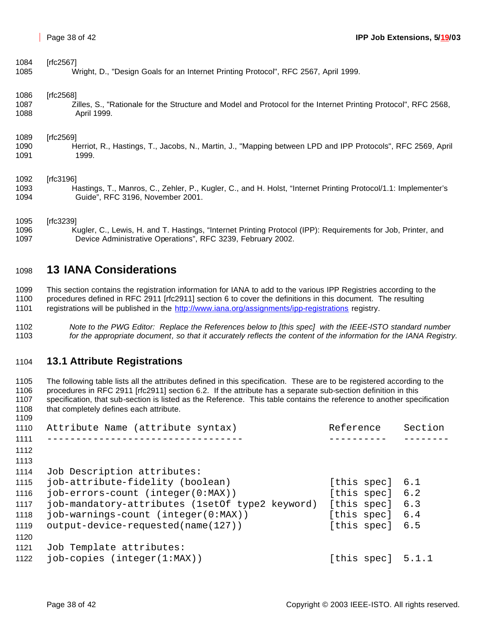| 1084 | [rfc2567]                                                                                                      |
|------|----------------------------------------------------------------------------------------------------------------|
| 1085 | Wright, D., "Design Goals for an Internet Printing Protocol", RFC 2567, April 1999.                            |
| 1086 | [rfc2568]                                                                                                      |
| 1087 | Zilles, S., "Rationale for the Structure and Model and Protocol for the Internet Printing Protocol", RFC 2568, |
| 1088 | April 1999.                                                                                                    |
| 1089 | [rfc2569]                                                                                                      |
| 1090 | Herriot, R., Hastings, T., Jacobs, N., Martin, J., "Mapping between LPD and IPP Protocols", RFC 2569, April    |
| 1091 | 1999.                                                                                                          |
| 1092 | [rfc3196]                                                                                                      |
| 1093 | Hastings, T., Manros, C., Zehler, P., Kugler, C., and H. Holst, "Internet Printing Protocol/1.1: Implementer's |
| 1094 | Guide", RFC 3196, November 2001.                                                                               |
| 1095 | [rfc3239]                                                                                                      |
| 1096 | Kugler, C., Lewis, H. and T. Hastings, "Internet Printing Protocol (IPP): Requirements for Job, Printer, and   |

# **13 IANA Considerations**

Device Administrative Operations", RFC 3239, February 2002.

 This section contains the registration information for IANA to add to the various IPP Registries according to the procedures defined in RFC 2911 [rfc2911] section 6 to cover the definitions in this document. The resulting 1101 registrations will be published in the http://www.iana.org/assignments/ipp-registrations registry.

 *Note to the PWG Editor: Replace the References below to [this spec] with the IEEE-ISTO standard number for the appropriate document, so that it accurately reflects the content of the information for the IANA Registry.*

## **13.1 Attribute Registrations**

 The following table lists all the attributes defined in this specification. These are to be registered according to the procedures in RFC 2911 [rfc2911] section 6.2. If the attribute has a separate sub-section definition in this specification, that sub-section is listed as the Reference. This table contains the reference to another specification 1108 that completely defines each attribute.

| 1110 | Attribute Name (attribute syntax)               | Reference           | Section |
|------|-------------------------------------------------|---------------------|---------|
| 1111 |                                                 |                     |         |
| 1112 |                                                 |                     |         |
| 1113 |                                                 |                     |         |
| 1114 | Job Description attributes:                     |                     |         |
| 1115 | job-attribute-fidelity (boolean)                | [this spec] 6.1     |         |
| 1116 | job-errors-count (integer(0:MAX))               | [this spec] 6.2     |         |
| 1117 | job-mandatory-attributes (1setOf type2 keyword) | [this spec]         | 6.3     |
| 1118 | job-warnings-count (integer(0:MAX))             | [this spec] 6.4     |         |
| 1119 | output-device-requested(name(127))              | [this spec] 6.5     |         |
| 1120 |                                                 |                     |         |
| 1121 | Job Template attributes:                        |                     |         |
| 1122 | $job$ -copies (integer( $1:MAX$ ))              | [this spec] $5.1.1$ |         |
|      |                                                 |                     |         |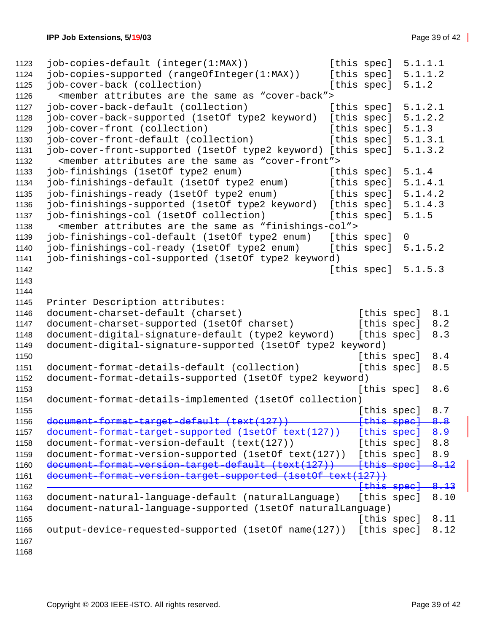```
1123 job-copies-default (integer(1:MAX)) [this spec] 5.1.1.1
1124 job-copies-supported (rangeOfInteger(1:MAX)) [this spec] 5.1.1.2
1125 job-cover-back (collection) [this spec] 5.1.2
1126 <member attributes are the same as "cover-back">
1127 job-cover-back-default (collection) [this spec] 5.1.2.1
1128 job-cover-back-supported (1setOf type2 keyword) [this spec] 5.1.2.2
1129 job-cover-front (collection) [this spec] 5.1.3
1130 job-cover-front-default (collection) [this spec] 5.1.3.1
1131 job-cover-front-supported (1setOf type2 keyword) [this spec] 5.1.3.2
1132 <member attributes are the same as "cover-front">
1133 job-finishings (1setOf type2 enum) [this spec] 5.1.4
1134 job-finishings-default (1setOf type2 enum) [this spec] 5.1.4.1
1135 job-finishings-ready (1setOf type2 enum) [this spec] 5.1.4.2
1136 job-finishings-supported (1setOf type2 keyword) [this spec] 5.1.4.3
1137 job-finishings-col (1setOf collection) [this spec] 5.1.5
1138 < member attributes are the same as "finishings-col"><br>1139 job-finishings-col-default (1setOf type2 enum) [this spec]
1139 job-finishings-col-default (1setOf type2 enum) [this spec] 0
1140 job-finishings-col-ready (1setOf type2 enum) [this spec] 5.1.5.2
1141 job-finishings-col-supported (1setOf type2 keyword)
1142 [this spec] 5.1.5.3
1143
1144
1145 Printer Description attributes:
1146 document-charset-default (charset) [this spec] 8.1
1147 document-charset-supported (1setOf charset) [this spec] 8.2
1148 document-digital-signature-default (type2 keyword) [this spec] 8.3
1149 document-digital-signature-supported (1setOf type2 keyword)
1150 f this spec 3 and 1150 f \left[ \text{this spec} \right] 8.4
1151 document-format-details-default (collection) [this spec] 8.5
1152 document-format-details-supported (1setOf type2 keyword)
1153 for the contract of the contract of the contract of the contract of the contract of the contract of the contract of the contract of the contract of the contract of the contract of the contract of the contract of the 
1154 document-format-details-implemented (1setOf collection)
1155 [this spec] 8.7
1156 document-format-target-default (text(127)) [this spec] 8.8
1157 document-format-target-supported (lsetOf text(127)) [this spec] 8.9
1158 document-format-version-default (text(127)) [this spec] 8.8
1159 document-format-version-supported (1setOf text(127)) [this spec] 8.9
1160 document-format-version-target-default (text(127)) [this spec] 8.12
1161 document-format-version-target-supported (1setOf text(127))
1162 [this spec] 8.13
1163 document-natural-language-default (naturalLanguage) [this spec] 8.10
1164 document-natural-language-supported (1setOf naturalLanguage)
1165 [this spec] 8.11
1166 output-device-requested-supported (1setOf name(127)) [this spec] 8.12
1167
1168
```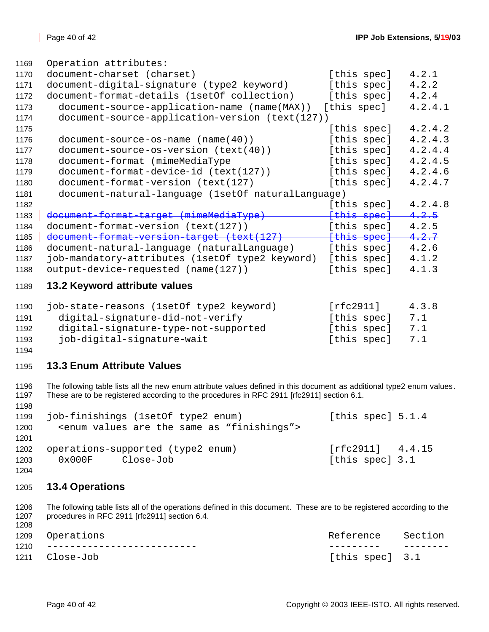| 1169 | Operation attributes:                              |             |         |
|------|----------------------------------------------------|-------------|---------|
| 1170 | document-charset (charset)                         | [this spec] | 4.2.1   |
| 1171 | document-digital-signature (type2 keyword)         | [this spec] | 4.2.2   |
| 1172 | document-format-details (1setOf collection)        | [this spec] | 4.2.4   |
| 1173 | document-source-application-name (name(MAX))       | [this spec] | 4.2.4.1 |
| 1174 | document-source-application-version (text(127))    |             |         |
| 1175 |                                                    | [this spec] | 4.2.4.2 |
| 1176 | $document-source-os-name (name(40))$               | [this spec] | 4.2.4.3 |
| 1177 | document-source-os-version (text(40))              | [this spec] | 4.2.4.4 |
| 1178 | document-format (mimeMediaType                     | [this spec] | 4.2.4.5 |
| 1179 | document-format-device-id (text(127))              | [this spec] | 4.2.4.6 |
| 1180 | document-format-version (text(127)                 | [this spec] | 4.2.4.7 |
| 1181 | document-natural-language (1setOf naturalLanguage) |             |         |
| 1182 |                                                    | [this spec] | 4.2.4.8 |
| 1183 | document-format-target (mimeMediaType)             | [this spec] | 4.2.5   |
| 1184 | document-format-version (text(127))                | [this spec] | 4.2.5   |
| 1185 | document-format-version-target (text(127)          | {this spec} | 4.2.7   |
| 1186 | document-natural-language (naturalLanguage)        | [this spec] | 4.2.6   |
| 1187 | job-mandatory-attributes (1setOf type2 keyword)    | [this spec] | 4.1.2   |
| 1188 | output-device-requested (name(127))                | [this spec] | 4.1.3   |
| 1189 | 13.2 Keyword attribute values                      |             |         |
| 1190 | job-state-reasons (1setOf type2 keyword)           | [rfc2911]   | 4.3.8   |
| 1191 | digital-signature-did-not-verify                   | [this spec] | 7.1     |
| 1192 | digital-signature-type-not-supported               | [this spec] | 7.1     |
| 1193 | job-digital-signature-wait                         | [this spec] | 7.1     |
| 1194 |                                                    |             |         |

## **13.3 Enum Attribute Values**

1196 The following table lists all the new enum attribute values defined in this document as additional type2 enum values.<br>1197 These are to be registered according to the procedures in RFC 2911 [rfc2911] section 6.1. These are to be registered according to the procedures in RFC 2911 [rfc2911] section 6.1.

| 1199 | job-finishings (1setOf type2 enum)                                  | [this spec] $5.1.4$ |  |
|------|---------------------------------------------------------------------|---------------------|--|
| 1200 | <enum "finishings"="" are="" as="" same="" the="" values=""></enum> |                     |  |
| 1201 |                                                                     |                     |  |
| 1202 | operations-supported (type2 enum)                                   | [rfc2911] 4.4.15    |  |
| 1203 | $0 \times 000$ F<br>Close-Job                                       | [this spec] 3.1     |  |
| 1204 |                                                                     |                     |  |

## **13.4 Operations**

 The following table lists all of the operations defined in this document. These are to be registered according to the procedures in RFC 2911 [rfc2911] section 6.4.

| 1209 Operations                 | Reference Section |  |
|---------------------------------|-------------------|--|
| 1210 -------------------------- |                   |  |
| 1211 Close-Job                  | [this spec] 3.1   |  |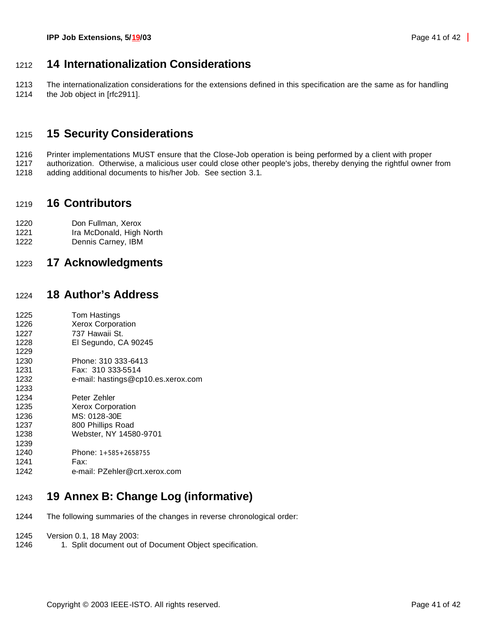# **14 Internationalization Considerations**

 The internationalization considerations for the extensions defined in this specification are the same as for handling 1214 the Job object in [rfc2911].

# **15 Security Considerations**

1216 Printer implementations MUST ensure that the Close-Job operation is being performed by a client with proper<br>1217 authorization. Otherwise, a malicious user could close other people's jobs, thereby denying the rightful authorization. Otherwise, a malicious user could close other people's jobs, thereby denying the rightful owner from adding additional documents to his/her Job. See section 3.1.

# **16 Contributors**

- Don Fullman, Xerox
- 1221 Ira McDonald, High North
- Dennis Carney, IBM

# **17 Acknowledgments**

# **18 Author's Address**

| 1225 | Tom Hastings                       |
|------|------------------------------------|
| 1226 | <b>Xerox Corporation</b>           |
| 1227 | 737 Hawaii St.                     |
| 1228 | El Segundo, CA 90245               |
| 1229 |                                    |
| 1230 | Phone: 310 333-6413                |
| 1231 | Fax: 310 333-5514                  |
| 1232 | e-mail: hastings@cp10.es.xerox.com |
| 1233 |                                    |
| 1234 | Peter Zehler                       |
| 1235 | <b>Xerox Corporation</b>           |
| 1236 | MS: 0128-30E                       |
| 1237 | 800 Phillips Road                  |
| 1238 | Webster, NY 14580-9701             |
| 1239 |                                    |
| 1240 | Phone: $1+585+2658755$             |
| 1241 | Fax:                               |
| 1242 | e-mail: PZehler@crt.xerox.com      |
|      |                                    |

# **19 Annex B: Change Log (informative)**

- The following summaries of the changes in reverse chronological order:
- Version 0.1, 18 May 2003:
- 1246 1. Split document out of Document Object specification.